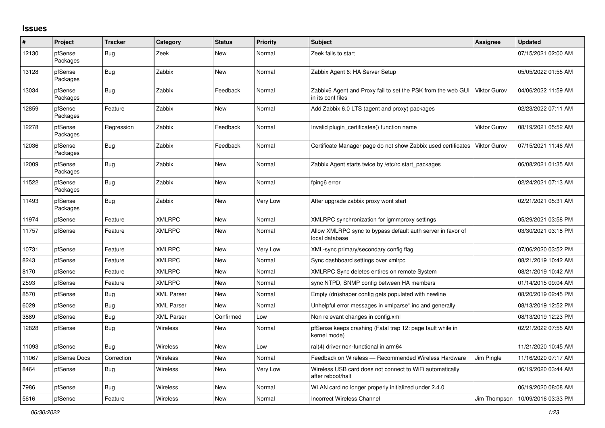## **Issues**

| ∦     | Project             | <b>Tracker</b> | Category          | <b>Status</b> | <b>Priority</b> | <b>Subject</b>                                                                    | Assignee            | <b>Updated</b>      |
|-------|---------------------|----------------|-------------------|---------------|-----------------|-----------------------------------------------------------------------------------|---------------------|---------------------|
| 12130 | pfSense<br>Packages | Bug            | Zeek              | New           | Normal          | Zeek fails to start                                                               |                     | 07/15/2021 02:00 AM |
| 13128 | pfSense<br>Packages | Bug            | Zabbix            | New           | Normal          | Zabbix Agent 6: HA Server Setup                                                   |                     | 05/05/2022 01:55 AM |
| 13034 | pfSense<br>Packages | Bug            | Zabbix            | Feedback      | Normal          | Zabbix6 Agent and Proxy fail to set the PSK from the web GUI<br>in its conf files | <b>Viktor Gurov</b> | 04/06/2022 11:59 AM |
| 12859 | pfSense<br>Packages | Feature        | Zabbix            | <b>New</b>    | Normal          | Add Zabbix 6.0 LTS (agent and proxy) packages                                     |                     | 02/23/2022 07:11 AM |
| 12278 | pfSense<br>Packages | Regression     | Zabbix            | Feedback      | Normal          | Invalid plugin certificates() function name                                       | Viktor Gurov        | 08/19/2021 05:52 AM |
| 12036 | pfSense<br>Packages | <b>Bug</b>     | Zabbix            | Feedback      | Normal          | Certificate Manager page do not show Zabbix used certificates                     | <b>Viktor Gurov</b> | 07/15/2021 11:46 AM |
| 12009 | pfSense<br>Packages | <b>Bug</b>     | Zabbix            | New           | Normal          | Zabbix Agent starts twice by /etc/rc.start_packages                               |                     | 06/08/2021 01:35 AM |
| 11522 | pfSense<br>Packages | <b>Bug</b>     | Zabbix            | New           | Normal          | fping6 error                                                                      |                     | 02/24/2021 07:13 AM |
| 11493 | pfSense<br>Packages | <b>Bug</b>     | Zabbix            | New           | Very Low        | After upgrade zabbix proxy wont start                                             |                     | 02/21/2021 05:31 AM |
| 11974 | pfSense             | Feature        | <b>XMLRPC</b>     | New           | Normal          | XMLRPC synchronization for igmmproxy settings                                     |                     | 05/29/2021 03:58 PM |
| 11757 | pfSense             | Feature        | <b>XMLRPC</b>     | New           | Normal          | Allow XMLRPC sync to bypass default auth server in favor of<br>local database     |                     | 03/30/2021 03:18 PM |
| 10731 | pfSense             | Feature        | <b>XMLRPC</b>     | New           | Very Low        | XML-sync primary/secondary config flag                                            |                     | 07/06/2020 03:52 PM |
| 8243  | pfSense             | Feature        | <b>XMLRPC</b>     | New           | Normal          | Sync dashboard settings over xmlrpc                                               |                     | 08/21/2019 10:42 AM |
| 8170  | pfSense             | Feature        | <b>XMLRPC</b>     | New           | Normal          | XMLRPC Sync deletes entires on remote System                                      |                     | 08/21/2019 10:42 AM |
| 2593  | pfSense             | Feature        | <b>XMLRPC</b>     | New           | Normal          | sync NTPD, SNMP config between HA members                                         |                     | 01/14/2015 09:04 AM |
| 8570  | pfSense             | Bug            | <b>XML Parser</b> | <b>New</b>    | Normal          | Empty (dn)shaper config gets populated with newline                               |                     | 08/20/2019 02:45 PM |
| 6029  | pfSense             | <b>Bug</b>     | <b>XML Parser</b> | <b>New</b>    | Normal          | Unhelpful error messages in xmlparse*.inc and generally                           |                     | 08/13/2019 12:52 PM |
| 3889  | pfSense             | <b>Bug</b>     | <b>XML Parser</b> | Confirmed     | Low             | Non relevant changes in config.xml                                                |                     | 08/13/2019 12:23 PM |
| 12828 | pfSense             | Bug            | Wireless          | New           | Normal          | pfSense keeps crashing (Fatal trap 12: page fault while in<br>kernel mode)        |                     | 02/21/2022 07:55 AM |
| 11093 | pfSense             | Bug            | <b>Wireless</b>   | New           | Low             | ral(4) driver non-functional in arm64                                             |                     | 11/21/2020 10:45 AM |
| 11067 | pfSense Docs        | Correction     | Wireless          | New           | Normal          | Feedback on Wireless - Recommended Wireless Hardware                              | Jim Pingle          | 11/16/2020 07:17 AM |
| 8464  | pfSense             | Bug            | <b>Wireless</b>   | New           | Very Low        | Wireless USB card does not connect to WiFi automatically<br>after reboot/halt     |                     | 06/19/2020 03:44 AM |
| 7986  | pfSense             | <b>Bug</b>     | <b>Wireless</b>   | New           | Normal          | WLAN card no longer properly initialized under 2.4.0                              |                     | 06/19/2020 08:08 AM |
| 5616  | pfSense             | Feature        | <b>Wireless</b>   | New           | Normal          | <b>Incorrect Wireless Channel</b>                                                 | Jim Thompson        | 10/09/2016 03:33 PM |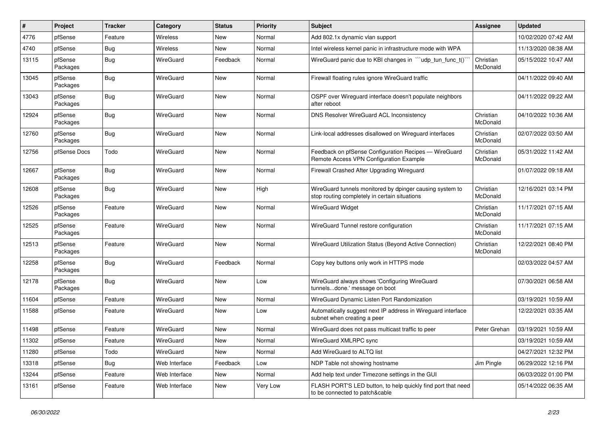| #     | Project             | <b>Tracker</b> | Category        | <b>Status</b> | <b>Priority</b> | Subject                                                                                                   | <b>Assignee</b>       | <b>Updated</b>      |
|-------|---------------------|----------------|-----------------|---------------|-----------------|-----------------------------------------------------------------------------------------------------------|-----------------------|---------------------|
| 4776  | pfSense             | Feature        | <b>Wireless</b> | New           | Normal          | Add 802.1x dynamic vlan support                                                                           |                       | 10/02/2020 07:42 AM |
| 4740  | pfSense             | <b>Bug</b>     | Wireless        | New           | Normal          | Intel wireless kernel panic in infrastructure mode with WPA                                               |                       | 11/13/2020 08:38 AM |
| 13115 | pfSense<br>Packages | Bug            | WireGuard       | Feedback      | Normal          | WireGuard panic due to KBI changes in "'udp tun func t()'                                                 | Christian<br>McDonald | 05/15/2022 10:47 AM |
| 13045 | pfSense<br>Packages | <b>Bug</b>     | WireGuard       | New           | Normal          | Firewall floating rules ignore WireGuard traffic                                                          |                       | 04/11/2022 09:40 AM |
| 13043 | pfSense<br>Packages | Bug            | WireGuard       | New           | Normal          | OSPF over Wireguard interface doesn't populate neighbors<br>after reboot                                  |                       | 04/11/2022 09:22 AM |
| 12924 | pfSense<br>Packages | <b>Bug</b>     | WireGuard       | New           | Normal          | <b>DNS Resolver WireGuard ACL Inconsistency</b>                                                           | Christian<br>McDonald | 04/10/2022 10:36 AM |
| 12760 | pfSense<br>Packages | <b>Bug</b>     | WireGuard       | New           | Normal          | Link-local addresses disallowed on Wireguard interfaces                                                   | Christian<br>McDonald | 02/07/2022 03:50 AM |
| 12756 | pfSense Docs        | Todo           | WireGuard       | New           | Normal          | Feedback on pfSense Configuration Recipes - WireGuard<br>Remote Access VPN Configuration Example          | Christian<br>McDonald | 05/31/2022 11:42 AM |
| 12667 | pfSense<br>Packages | <b>Bug</b>     | WireGuard       | New           | Normal          | Firewall Crashed After Upgrading Wireguard                                                                |                       | 01/07/2022 09:18 AM |
| 12608 | pfSense<br>Packages | Bug            | WireGuard       | New           | High            | WireGuard tunnels monitored by dpinger causing system to<br>stop routing completely in certain situations | Christian<br>McDonald | 12/16/2021 03:14 PM |
| 12526 | pfSense<br>Packages | Feature        | WireGuard       | New           | Normal          | <b>WireGuard Widget</b>                                                                                   | Christian<br>McDonald | 11/17/2021 07:15 AM |
| 12525 | pfSense<br>Packages | Feature        | WireGuard       | New           | Normal          | WireGuard Tunnel restore configuration                                                                    | Christian<br>McDonald | 11/17/2021 07:15 AM |
| 12513 | pfSense<br>Packages | Feature        | WireGuard       | New           | Normal          | WireGuard Utilization Status (Beyond Active Connection)                                                   | Christian<br>McDonald | 12/22/2021 08:40 PM |
| 12258 | pfSense<br>Packages | <b>Bug</b>     | WireGuard       | Feedback      | Normal          | Copy key buttons only work in HTTPS mode                                                                  |                       | 02/03/2022 04:57 AM |
| 12178 | pfSense<br>Packages | <b>Bug</b>     | WireGuard       | New           | Low             | WireGuard always shows 'Configuring WireGuard<br>tunnelsdone.' message on boot                            |                       | 07/30/2021 06:58 AM |
| 11604 | pfSense             | Feature        | WireGuard       | New           | Normal          | WireGuard Dynamic Listen Port Randomization                                                               |                       | 03/19/2021 10:59 AM |
| 11588 | pfSense             | Feature        | WireGuard       | New           | Low             | Automatically suggest next IP address in Wireguard interface<br>subnet when creating a peer               |                       | 12/22/2021 03:35 AM |
| 11498 | pfSense             | Feature        | WireGuard       | New           | Normal          | WireGuard does not pass multicast traffic to peer                                                         | Peter Grehan          | 03/19/2021 10:59 AM |
| 11302 | pfSense             | Feature        | WireGuard       | New           | Normal          | WireGuard XMLRPC sync                                                                                     |                       | 03/19/2021 10:59 AM |
| 11280 | pfSense             | Todo           | WireGuard       | New           | Normal          | Add WireGuard to ALTQ list                                                                                |                       | 04/27/2021 12:32 PM |
| 13318 | pfSense             | <b>Bug</b>     | Web Interface   | Feedback      | Low             | NDP Table not showing hostname                                                                            | Jim Pingle            | 06/29/2022 12:16 PM |
| 13244 | pfSense             | Feature        | Web Interface   | New           | Normal          | Add help text under Timezone settings in the GUI                                                          |                       | 06/03/2022 01:00 PM |
| 13161 | pfSense             | Feature        | Web Interface   | New           | Very Low        | FLASH PORT'S LED button, to help quickly find port that need<br>to be connected to patch&cable            |                       | 05/14/2022 06:35 AM |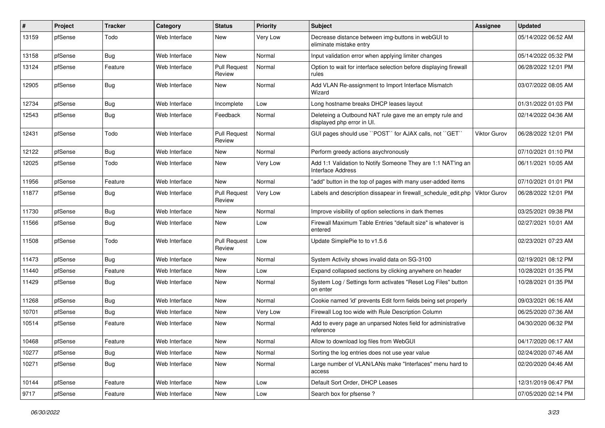| #     | Project | <b>Tracker</b> | Category      | <b>Status</b>                 | <b>Priority</b> | Subject                                                                               | Assignee            | <b>Updated</b>      |
|-------|---------|----------------|---------------|-------------------------------|-----------------|---------------------------------------------------------------------------------------|---------------------|---------------------|
| 13159 | pfSense | Todo           | Web Interface | New                           | Very Low        | Decrease distance between img-buttons in webGUI to<br>eliminate mistake entry         |                     | 05/14/2022 06:52 AM |
| 13158 | pfSense | Bug            | Web Interface | New                           | Normal          | Input validation error when applying limiter changes                                  |                     | 05/14/2022 05:32 PM |
| 13124 | pfSense | Feature        | Web Interface | <b>Pull Request</b><br>Review | Normal          | Option to wait for interface selection before displaying firewall<br>rules            |                     | 06/28/2022 12:01 PM |
| 12905 | pfSense | Bug            | Web Interface | New                           | Normal          | Add VLAN Re-assignment to Import Interface Mismatch<br>Wizard                         |                     | 03/07/2022 08:05 AM |
| 12734 | pfSense | <b>Bug</b>     | Web Interface | Incomplete                    | Low             | Long hostname breaks DHCP leases layout                                               |                     | 01/31/2022 01:03 PM |
| 12543 | pfSense | Bug            | Web Interface | Feedback                      | Normal          | Deleteing a Outbound NAT rule gave me an empty rule and<br>displayed php error in UI. |                     | 02/14/2022 04:36 AM |
| 12431 | pfSense | Todo           | Web Interface | <b>Pull Request</b><br>Review | Normal          | GUI pages should use "POST" for AJAX calls, not "GET"                                 | Viktor Gurov        | 06/28/2022 12:01 PM |
| 12122 | pfSense | Bug            | Web Interface | <b>New</b>                    | Normal          | Perform greedy actions asychronously                                                  |                     | 07/10/2021 01:10 PM |
| 12025 | pfSense | Todo           | Web Interface | New                           | Very Low        | Add 1:1 Validation to Notify Someone They are 1:1 NAT'ing an<br>Interface Address     |                     | 06/11/2021 10:05 AM |
| 11956 | pfSense | Feature        | Web Interface | <b>New</b>                    | Normal          | "add" button in the top of pages with many user-added items                           |                     | 07/10/2021 01:01 PM |
| 11877 | pfSense | Bug            | Web Interface | <b>Pull Request</b><br>Review | Very Low        | Labels and description dissapear in firewall schedule edit.php                        | <b>Viktor Gurov</b> | 06/28/2022 12:01 PM |
| 11730 | pfSense | Bug            | Web Interface | New                           | Normal          | Improve visibility of option selections in dark themes                                |                     | 03/25/2021 09:38 PM |
| 11566 | pfSense | Bug            | Web Interface | New                           | Low             | Firewall Maximum Table Entries "default size" is whatever is<br>entered               |                     | 02/27/2021 10:01 AM |
| 11508 | pfSense | Todo           | Web Interface | <b>Pull Request</b><br>Review | Low             | Update SimplePie to to v1.5.6                                                         |                     | 02/23/2021 07:23 AM |
| 11473 | pfSense | Bug            | Web Interface | New                           | Normal          | System Activity shows invalid data on SG-3100                                         |                     | 02/19/2021 08:12 PM |
| 11440 | pfSense | Feature        | Web Interface | New                           | Low             | Expand collapsed sections by clicking anywhere on header                              |                     | 10/28/2021 01:35 PM |
| 11429 | pfSense | Bug            | Web Interface | New                           | Normal          | System Log / Settings form activates "Reset Log Files" button<br>on enter             |                     | 10/28/2021 01:35 PM |
| 11268 | pfSense | Bug            | Web Interface | <b>New</b>                    | Normal          | Cookie named 'id' prevents Edit form fields being set properly                        |                     | 09/03/2021 06:16 AM |
| 10701 | pfSense | <b>Bug</b>     | Web Interface | New                           | Very Low        | Firewall Log too wide with Rule Description Column                                    |                     | 06/25/2020 07:36 AM |
| 10514 | pfSense | Feature        | Web Interface | New                           | Normal          | Add to every page an unparsed Notes field for administrative<br>reference             |                     | 04/30/2020 06:32 PM |
| 10468 | pfSense | Feature        | Web Interface | New                           | Normal          | Allow to download log files from WebGUI                                               |                     | 04/17/2020 06:17 AM |
| 10277 | pfSense | Bug            | Web Interface | New                           | Normal          | Sorting the log entries does not use year value                                       |                     | 02/24/2020 07:46 AM |
| 10271 | pfSense | <b>Bug</b>     | Web Interface | New                           | Normal          | Large number of VLAN/LANs make "Interfaces" menu hard to<br>access                    |                     | 02/20/2020 04:46 AM |
| 10144 | pfSense | Feature        | Web Interface | New                           | Low             | Default Sort Order, DHCP Leases                                                       |                     | 12/31/2019 06:47 PM |
| 9717  | pfSense | Feature        | Web Interface | New                           | Low             | Search box for pfsense ?                                                              |                     | 07/05/2020 02:14 PM |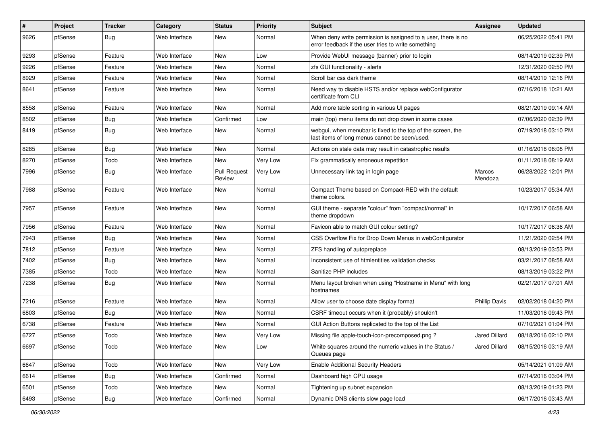| ∦    | Project | <b>Tracker</b> | Category      | <b>Status</b>                 | <b>Priority</b> | <b>Subject</b>                                                                                                       | <b>Assignee</b>      | <b>Updated</b>      |
|------|---------|----------------|---------------|-------------------------------|-----------------|----------------------------------------------------------------------------------------------------------------------|----------------------|---------------------|
| 9626 | pfSense | <b>Bug</b>     | Web Interface | New                           | Normal          | When deny write permission is assigned to a user, there is no<br>error feedback if the user tries to write something |                      | 06/25/2022 05:41 PM |
| 9293 | pfSense | Feature        | Web Interface | New                           | Low             | Provide WebUI message (banner) prior to login                                                                        |                      | 08/14/2019 02:39 PM |
| 9226 | pfSense | Feature        | Web Interface | New                           | Normal          | zfs GUI functionality - alerts                                                                                       |                      | 12/31/2020 02:50 PM |
| 8929 | pfSense | Feature        | Web Interface | New                           | Normal          | Scroll bar css dark theme                                                                                            |                      | 08/14/2019 12:16 PM |
| 8641 | pfSense | Feature        | Web Interface | New                           | Normal          | Need way to disable HSTS and/or replace webConfigurator<br>certificate from CLI                                      |                      | 07/16/2018 10:21 AM |
| 8558 | pfSense | Feature        | Web Interface | New                           | Normal          | Add more table sorting in various UI pages                                                                           |                      | 08/21/2019 09:14 AM |
| 8502 | pfSense | <b>Bug</b>     | Web Interface | Confirmed                     | Low             | main (top) menu items do not drop down in some cases                                                                 |                      | 07/06/2020 02:39 PM |
| 8419 | pfSense | <b>Bug</b>     | Web Interface | New                           | Normal          | webgui, when menubar is fixed to the top of the screen, the<br>last items of long menus cannot be seen/used.         |                      | 07/19/2018 03:10 PM |
| 8285 | pfSense | <b>Bug</b>     | Web Interface | New                           | Normal          | Actions on stale data may result in catastrophic results                                                             |                      | 01/16/2018 08:08 PM |
| 8270 | pfSense | Todo           | Web Interface | New                           | <b>Very Low</b> | Fix grammatically erroneous repetition                                                                               |                      | 01/11/2018 08:19 AM |
| 7996 | pfSense | <b>Bug</b>     | Web Interface | <b>Pull Request</b><br>Review | Very Low        | Unnecessary link tag in login page                                                                                   | Marcos<br>Mendoza    | 06/28/2022 12:01 PM |
| 7988 | pfSense | Feature        | Web Interface | New                           | Normal          | Compact Theme based on Compact-RED with the default<br>theme colors.                                                 |                      | 10/23/2017 05:34 AM |
| 7957 | pfSense | Feature        | Web Interface | New                           | Normal          | GUI theme - separate "colour" from "compact/normal" in<br>theme dropdown                                             |                      | 10/17/2017 06:58 AM |
| 7956 | pfSense | Feature        | Web Interface | New                           | Normal          | Favicon able to match GUI colour setting?                                                                            |                      | 10/17/2017 06:36 AM |
| 7943 | pfSense | <b>Bug</b>     | Web Interface | New                           | Normal          | CSS Overflow Fix for Drop Down Menus in webConfigurator                                                              |                      | 11/21/2020 02:54 PM |
| 7812 | pfSense | Feature        | Web Interface | New                           | Normal          | ZFS handling of autopreplace                                                                                         |                      | 08/13/2019 03:53 PM |
| 7402 | pfSense | <b>Bug</b>     | Web Interface | New                           | Normal          | Inconsistent use of htmlentities validation checks                                                                   |                      | 03/21/2017 08:58 AM |
| 7385 | pfSense | Todo           | Web Interface | New                           | Normal          | Sanitize PHP includes                                                                                                |                      | 08/13/2019 03:22 PM |
| 7238 | pfSense | Bug            | Web Interface | New                           | Normal          | Menu layout broken when using "Hostname in Menu" with long<br>hostnames                                              |                      | 02/21/2017 07:01 AM |
| 7216 | pfSense | Feature        | Web Interface | New                           | Normal          | Allow user to choose date display format                                                                             | <b>Phillip Davis</b> | 02/02/2018 04:20 PM |
| 6803 | pfSense | <b>Bug</b>     | Web Interface | New                           | Normal          | CSRF timeout occurs when it (probably) shouldn't                                                                     |                      | 11/03/2016 09:43 PM |
| 6738 | pfSense | Feature        | Web Interface | New                           | Normal          | GUI Action Buttons replicated to the top of the List                                                                 |                      | 07/10/2021 01:04 PM |
| 6727 | pfSense | Todo           | Web Interface | New                           | Very Low        | Missing file apple-touch-icon-precomposed.png?                                                                       | Jared Dillard        | 08/18/2016 02:10 PM |
| 6697 | pfSense | Todo           | Web Interface | New                           | Low             | White squares around the numeric values in the Status /<br>Queues page                                               | Jared Dillard        | 08/15/2016 03:19 AM |
| 6647 | pfSense | Todo           | Web Interface | New                           | Very Low        | <b>Enable Additional Security Headers</b>                                                                            |                      | 05/14/2021 01:09 AM |
| 6614 | pfSense | Bug            | Web Interface | Confirmed                     | Normal          | Dashboard high CPU usage                                                                                             |                      | 07/14/2016 03:04 PM |
| 6501 | pfSense | Todo           | Web Interface | New                           | Normal          | Tightening up subnet expansion                                                                                       |                      | 08/13/2019 01:23 PM |
| 6493 | pfSense | Bug            | Web Interface | Confirmed                     | Normal          | Dynamic DNS clients slow page load                                                                                   |                      | 06/17/2016 03:43 AM |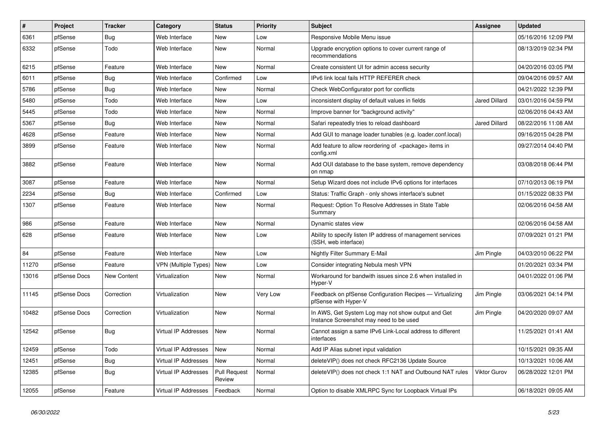| #     | Project      | <b>Tracker</b> | Category                    | <b>Status</b>                 | <b>Priority</b> | <b>Subject</b>                                                                                | Assignee             | <b>Updated</b>      |
|-------|--------------|----------------|-----------------------------|-------------------------------|-----------------|-----------------------------------------------------------------------------------------------|----------------------|---------------------|
| 6361  | pfSense      | Bug            | Web Interface               | <b>New</b>                    | Low             | Responsive Mobile Menu issue                                                                  |                      | 05/16/2016 12:09 PM |
| 6332  | pfSense      | Todo           | Web Interface               | New                           | Normal          | Upgrade encryption options to cover current range of<br>recommendations                       |                      | 08/13/2019 02:34 PM |
| 6215  | pfSense      | Feature        | Web Interface               | <b>New</b>                    | Normal          | Create consistent UI for admin access security                                                |                      | 04/20/2016 03:05 PM |
| 6011  | pfSense      | Bug            | Web Interface               | Confirmed                     | Low             | IPv6 link local fails HTTP REFERER check                                                      |                      | 09/04/2016 09:57 AM |
| 5786  | pfSense      | Bug            | Web Interface               | New                           | Normal          | Check WebConfigurator port for conflicts                                                      |                      | 04/21/2022 12:39 PM |
| 5480  | pfSense      | Todo           | Web Interface               | New                           | Low             | inconsistent display of default values in fields                                              | <b>Jared Dillard</b> | 03/01/2016 04:59 PM |
| 5445  | pfSense      | Todo           | Web Interface               | New                           | Normal          | Improve banner for "background activity"                                                      |                      | 02/06/2016 04:43 AM |
| 5367  | pfSense      | Bug            | Web Interface               | New                           | Normal          | Safari repeatedly tries to reload dashboard                                                   | <b>Jared Dillard</b> | 08/22/2016 11:08 AM |
| 4628  | pfSense      | Feature        | Web Interface               | <b>New</b>                    | Normal          | Add GUI to manage loader tunables (e.g. loader.conf.local)                                    |                      | 09/16/2015 04:28 PM |
| 3899  | pfSense      | Feature        | Web Interface               | New                           | Normal          | Add feature to allow reordering of <package> items in<br/>config.xml</package>                |                      | 09/27/2014 04:40 PM |
| 3882  | pfSense      | Feature        | Web Interface               | <b>New</b>                    | Normal          | Add OUI database to the base system, remove dependency<br>on nmap                             |                      | 03/08/2018 06:44 PM |
| 3087  | pfSense      | Feature        | Web Interface               | <b>New</b>                    | Normal          | Setup Wizard does not include IPv6 options for interfaces                                     |                      | 07/10/2013 06:19 PM |
| 2234  | pfSense      | Bug            | Web Interface               | Confirmed                     | Low             | Status: Traffic Graph - only shows interface's subnet                                         |                      | 01/15/2022 08:33 PM |
| 1307  | pfSense      | Feature        | Web Interface               | <b>New</b>                    | Normal          | Request: Option To Resolve Addresses in State Table<br>Summary                                |                      | 02/06/2016 04:58 AM |
| 986   | pfSense      | Feature        | Web Interface               | <b>New</b>                    | Normal          | Dynamic states view                                                                           |                      | 02/06/2016 04:58 AM |
| 628   | pfSense      | Feature        | Web Interface               | <b>New</b>                    | Low             | Ability to specify listen IP address of management services<br>(SSH, web interface)           |                      | 07/09/2021 01:21 PM |
| 84    | pfSense      | Feature        | Web Interface               | <b>New</b>                    | Low             | Nightly Filter Summary E-Mail                                                                 | Jim Pingle           | 04/03/2010 06:22 PM |
| 11270 | pfSense      | Feature        | <b>VPN (Multiple Types)</b> | New                           | Low             | Consider integrating Nebula mesh VPN                                                          |                      | 01/20/2021 03:34 PM |
| 13016 | pfSense Docs | New Content    | Virtualization              | New                           | Normal          | Workaround for bandwith issues since 2.6 when installed in<br>Hyper-V                         |                      | 04/01/2022 01:06 PM |
| 11145 | pfSense Docs | Correction     | Virtualization              | <b>New</b>                    | Very Low        | Feedback on pfSense Configuration Recipes — Virtualizing<br>pfSense with Hyper-V              | Jim Pingle           | 03/06/2021 04:14 PM |
| 10482 | pfSense Docs | Correction     | Virtualization              | <b>New</b>                    | Normal          | In AWS, Get System Log may not show output and Get<br>Instance Screenshot may need to be used | Jim Pingle           | 04/20/2020 09:07 AM |
| 12542 | pfSense      | <b>Bug</b>     | <b>Virtual IP Addresses</b> | New                           | Normal          | Cannot assign a same IPv6 Link-Local address to different<br>interfaces                       |                      | 11/25/2021 01:41 AM |
| 12459 | pfSense      | Todo           | Virtual IP Addresses        | New                           | Normal          | Add IP Alias subnet input validation                                                          |                      | 10/15/2021 09:35 AM |
| 12451 | pfSense      | <b>Bug</b>     | Virtual IP Addresses        | <b>New</b>                    | Normal          | deleteVIP() does not check RFC2136 Update Source                                              |                      | 10/13/2021 10:06 AM |
| 12385 | pfSense      | Bug            | Virtual IP Addresses        | <b>Pull Request</b><br>Review | Normal          | deleteVIP() does not check 1:1 NAT and Outbound NAT rules                                     | Viktor Gurov         | 06/28/2022 12:01 PM |
| 12055 | pfSense      | Feature        | <b>Virtual IP Addresses</b> | Feedback                      | Normal          | Option to disable XMLRPC Sync for Loopback Virtual IPs                                        |                      | 06/18/2021 09:05 AM |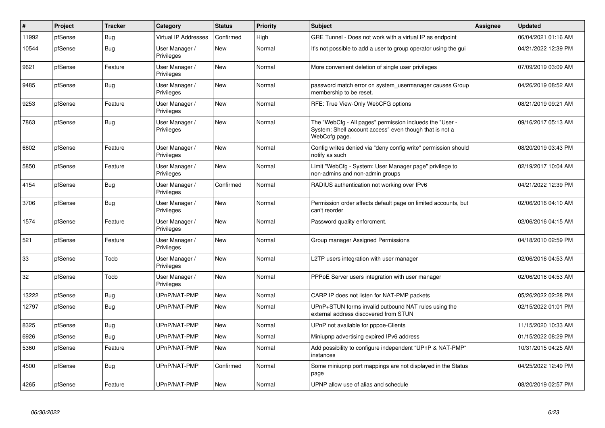| #     | Project | <b>Tracker</b> | Category                     | <b>Status</b> | <b>Priority</b> | <b>Subject</b>                                                                                                                       | Assignee | <b>Updated</b>      |
|-------|---------|----------------|------------------------------|---------------|-----------------|--------------------------------------------------------------------------------------------------------------------------------------|----------|---------------------|
| 11992 | pfSense | <b>Bug</b>     | <b>Virtual IP Addresses</b>  | Confirmed     | High            | GRE Tunnel - Does not work with a virtual IP as endpoint                                                                             |          | 06/04/2021 01:16 AM |
| 10544 | pfSense | <b>Bug</b>     | User Manager /<br>Privileges | <b>New</b>    | Normal          | It's not possible to add a user to group operator using the gui                                                                      |          | 04/21/2022 12:39 PM |
| 9621  | pfSense | Feature        | User Manager /<br>Privileges | New           | Normal          | More convenient deletion of single user privileges                                                                                   |          | 07/09/2019 03:09 AM |
| 9485  | pfSense | <b>Bug</b>     | User Manager /<br>Privileges | <b>New</b>    | Normal          | password match error on system usermanager causes Group<br>membership to be reset.                                                   |          | 04/26/2019 08:52 AM |
| 9253  | pfSense | Feature        | User Manager /<br>Privileges | New           | Normal          | RFE: True View-Only WebCFG options                                                                                                   |          | 08/21/2019 09:21 AM |
| 7863  | pfSense | <b>Bug</b>     | User Manager /<br>Privileges | New           | Normal          | The "WebCfg - All pages" permission inclueds the "User -<br>System: Shell account access" even though that is not a<br>WebCofg page. |          | 09/16/2017 05:13 AM |
| 6602  | pfSense | Feature        | User Manager /<br>Privileges | <b>New</b>    | Normal          | Config writes denied via "deny config write" permission should<br>notify as such                                                     |          | 08/20/2019 03:43 PM |
| 5850  | pfSense | Feature        | User Manager /<br>Privileges | <b>New</b>    | Normal          | Limit "WebCfg - System: User Manager page" privilege to<br>non-admins and non-admin groups                                           |          | 02/19/2017 10:04 AM |
| 4154  | pfSense | <b>Bug</b>     | User Manager /<br>Privileges | Confirmed     | Normal          | RADIUS authentication not working over IPv6                                                                                          |          | 04/21/2022 12:39 PM |
| 3706  | pfSense | Bug            | User Manager /<br>Privileges | New           | Normal          | Permission order affects default page on limited accounts, but<br>can't reorder                                                      |          | 02/06/2016 04:10 AM |
| 1574  | pfSense | Feature        | User Manager /<br>Privileges | <b>New</b>    | Normal          | Password quality enforcment.                                                                                                         |          | 02/06/2016 04:15 AM |
| 521   | pfSense | Feature        | User Manager /<br>Privileges | New           | Normal          | Group manager Assigned Permissions                                                                                                   |          | 04/18/2010 02:59 PM |
| 33    | pfSense | Todo           | User Manager /<br>Privileges | <b>New</b>    | Normal          | L2TP users integration with user manager                                                                                             |          | 02/06/2016 04:53 AM |
| 32    | pfSense | Todo           | User Manager /<br>Privileges | New           | Normal          | PPPoE Server users integration with user manager                                                                                     |          | 02/06/2016 04:53 AM |
| 13222 | pfSense | Bug            | UPnP/NAT-PMP                 | New           | Normal          | CARP IP does not listen for NAT-PMP packets                                                                                          |          | 05/26/2022 02:28 PM |
| 12797 | pfSense | <b>Bug</b>     | UPnP/NAT-PMP                 | New           | Normal          | UPnP+STUN forms invalid outbound NAT rules using the<br>external address discovered from STUN                                        |          | 02/15/2022 01:01 PM |
| 8325  | pfSense | <b>Bug</b>     | UPnP/NAT-PMP                 | New           | Normal          | UPnP not available for pppoe-Clients                                                                                                 |          | 11/15/2020 10:33 AM |
| 6926  | pfSense | <b>Bug</b>     | UPnP/NAT-PMP                 | New           | Normal          | Miniupnp advertising expired IPv6 address                                                                                            |          | 01/15/2022 08:29 PM |
| 5360  | pfSense | Feature        | UPnP/NAT-PMP                 | New           | Normal          | Add possibility to configure independent "UPnP & NAT-PMP"<br>instances                                                               |          | 10/31/2015 04:25 AM |
| 4500  | pfSense | Bug            | UPnP/NAT-PMP                 | Confirmed     | Normal          | Some miniupnp port mappings are not displayed in the Status<br>page                                                                  |          | 04/25/2022 12:49 PM |
| 4265  | pfSense | Feature        | UPnP/NAT-PMP                 | New           | Normal          | UPNP allow use of alias and schedule                                                                                                 |          | 08/20/2019 02:57 PM |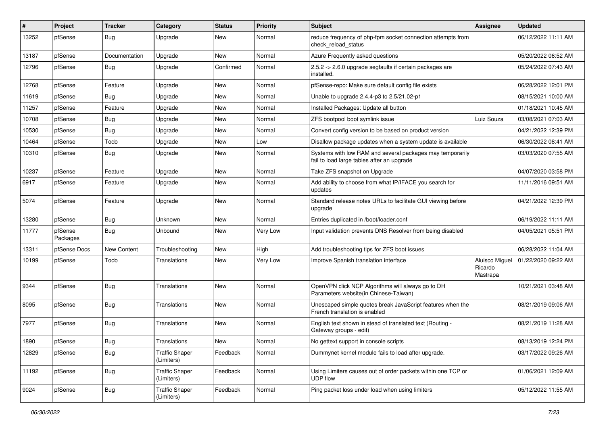| #     | Project             | <b>Tracker</b> | Category                            | <b>Status</b> | Priority | <b>Subject</b>                                                                                          | <b>Assignee</b>                       | <b>Updated</b>      |
|-------|---------------------|----------------|-------------------------------------|---------------|----------|---------------------------------------------------------------------------------------------------------|---------------------------------------|---------------------|
| 13252 | pfSense             | Bug            | Upgrade                             | New           | Normal   | reduce frequency of php-fpm socket connection attempts from<br>check_reload_status                      |                                       | 06/12/2022 11:11 AM |
| 13187 | pfSense             | Documentation  | Upgrade                             | New           | Normal   | Azure Frequently asked questions                                                                        |                                       | 05/20/2022 06:52 AM |
| 12796 | pfSense             | Bug            | Upgrade                             | Confirmed     | Normal   | 2.5.2 -> 2.6.0 upgrade segfaults if certain packages are<br>installed.                                  |                                       | 05/24/2022 07:43 AM |
| 12768 | pfSense             | Feature        | Upgrade                             | New           | Normal   | pfSense-repo: Make sure default config file exists                                                      |                                       | 06/28/2022 12:01 PM |
| 11619 | pfSense             | <b>Bug</b>     | Upgrade                             | New           | Normal   | Unable to upgrade 2.4.4-p3 to 2.5/21.02-p1                                                              |                                       | 08/15/2021 10:00 AM |
| 11257 | pfSense             | Feature        | Upgrade                             | <b>New</b>    | Normal   | Installed Packages: Update all button                                                                   |                                       | 01/18/2021 10:45 AM |
| 10708 | pfSense             | <b>Bug</b>     | Upgrade                             | New           | Normal   | ZFS bootpool boot symlink issue                                                                         | Luiz Souza                            | 03/08/2021 07:03 AM |
| 10530 | pfSense             | Bug            | Upgrade                             | New           | Normal   | Convert config version to be based on product version                                                   |                                       | 04/21/2022 12:39 PM |
| 10464 | pfSense             | Todo           | Upgrade                             | New           | Low      | Disallow package updates when a system update is available                                              |                                       | 06/30/2022 08:41 AM |
| 10310 | pfSense             | <b>Bug</b>     | Upgrade                             | New           | Normal   | Systems with low RAM and several packages may temporarily<br>fail to load large tables after an upgrade |                                       | 03/03/2020 07:55 AM |
| 10237 | pfSense             | Feature        | Upgrade                             | New           | Normal   | Take ZFS snapshot on Upgrade                                                                            |                                       | 04/07/2020 03:58 PM |
| 6917  | pfSense             | Feature        | Upgrade                             | New           | Normal   | Add ability to choose from what IP/IFACE you search for<br>updates                                      |                                       | 11/11/2016 09:51 AM |
| 5074  | pfSense             | Feature        | Upgrade                             | New           | Normal   | Standard release notes URLs to facilitate GUI viewing before<br>upgrade                                 |                                       | 04/21/2022 12:39 PM |
| 13280 | pfSense             | Bug            | Unknown                             | <b>New</b>    | Normal   | Entries duplicated in /boot/loader.conf                                                                 |                                       | 06/19/2022 11:11 AM |
| 11777 | pfSense<br>Packages | Bug            | Unbound                             | New           | Very Low | Input validation prevents DNS Resolver from being disabled                                              |                                       | 04/05/2021 05:51 PM |
| 13311 | pfSense Docs        | New Content    | Troubleshooting                     | New           | High     | Add troubleshooting tips for ZFS boot issues                                                            |                                       | 06/28/2022 11:04 AM |
| 10199 | pfSense             | Todo           | Translations                        | New           | Very Low | Improve Spanish translation interface                                                                   | Aluisco Miguel<br>Ricardo<br>Mastrapa | 01/22/2020 09:22 AM |
| 9344  | pfSense             | <b>Bug</b>     | Translations                        | New           | Normal   | OpenVPN click NCP Algorithms will always go to DH<br>Parameters website(in Chinese-Taiwan)              |                                       | 10/21/2021 03:48 AM |
| 8095  | pfSense             | Bug            | Translations                        | New           | Normal   | Unescaped simple quotes break JavaScript features when the<br>French translation is enabled             |                                       | 08/21/2019 09:06 AM |
| 7977  | pfSense             | Bug            | Translations                        | New           | Normal   | English text shown in stead of translated text (Routing -<br>Gateway groups - edit)                     |                                       | 08/21/2019 11:28 AM |
| 1890  | pfSense             | <b>Bug</b>     | Translations                        | New           | Normal   | No gettext support in console scripts                                                                   |                                       | 08/13/2019 12:24 PM |
| 12829 | pfSense             | Bug            | <b>Traffic Shaper</b><br>(Limiters) | Feedback      | Normal   | Dummynet kernel module fails to load after upgrade.                                                     |                                       | 03/17/2022 09:26 AM |
| 11192 | pfSense             | <b>Bug</b>     | <b>Traffic Shaper</b><br>(Limiters) | Feedback      | Normal   | Using Limiters causes out of order packets within one TCP or<br><b>UDP flow</b>                         |                                       | 01/06/2021 12:09 AM |
| 9024  | pfSense             | Bug            | <b>Traffic Shaper</b><br>(Limiters) | Feedback      | Normal   | Ping packet loss under load when using limiters                                                         |                                       | 05/12/2022 11:55 AM |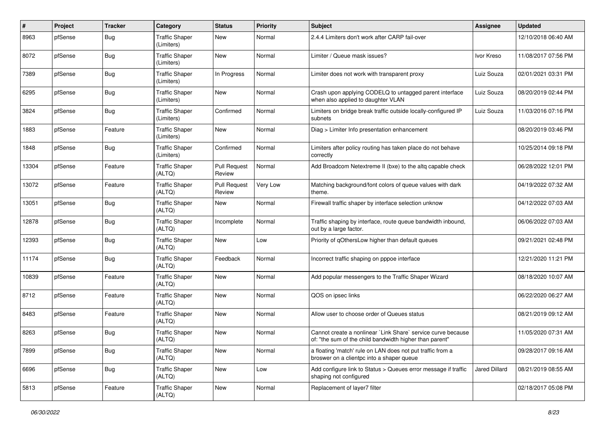| #     | Project | <b>Tracker</b> | Category                            | <b>Status</b>                 | <b>Priority</b> | <b>Subject</b>                                                                                                          | <b>Assignee</b> | <b>Updated</b>      |
|-------|---------|----------------|-------------------------------------|-------------------------------|-----------------|-------------------------------------------------------------------------------------------------------------------------|-----------------|---------------------|
| 8963  | pfSense | <b>Bug</b>     | <b>Traffic Shaper</b><br>(Limiters) | New                           | Normal          | 2.4.4 Limiters don't work after CARP fail-over                                                                          |                 | 12/10/2018 06:40 AM |
| 8072  | pfSense | Bug            | <b>Traffic Shaper</b><br>(Limiters) | <b>New</b>                    | Normal          | Limiter / Queue mask issues?                                                                                            | Ivor Kreso      | 11/08/2017 07:56 PM |
| 7389  | pfSense | Bug            | <b>Traffic Shaper</b><br>(Limiters) | In Progress                   | Normal          | Limiter does not work with transparent proxy                                                                            | Luiz Souza      | 02/01/2021 03:31 PM |
| 6295  | pfSense | Bug            | <b>Traffic Shaper</b><br>(Limiters) | <b>New</b>                    | Normal          | Crash upon applying CODELQ to untagged parent interface<br>when also applied to daughter VLAN                           | Luiz Souza      | 08/20/2019 02:44 PM |
| 3824  | pfSense | Bug            | <b>Traffic Shaper</b><br>(Limiters) | Confirmed                     | Normal          | Limiters on bridge break traffic outside locally-configured IP<br>subnets                                               | Luiz Souza      | 11/03/2016 07:16 PM |
| 1883  | pfSense | Feature        | <b>Traffic Shaper</b><br>(Limiters) | New                           | Normal          | Diag > Limiter Info presentation enhancement                                                                            |                 | 08/20/2019 03:46 PM |
| 1848  | pfSense | <b>Bug</b>     | <b>Traffic Shaper</b><br>(Limiters) | Confirmed                     | Normal          | Limiters after policy routing has taken place do not behave<br>correctly                                                |                 | 10/25/2014 09:18 PM |
| 13304 | pfSense | Feature        | <b>Traffic Shaper</b><br>(ALTQ)     | <b>Pull Request</b><br>Review | Normal          | Add Broadcom Netextreme II (bxe) to the altg capable check                                                              |                 | 06/28/2022 12:01 PM |
| 13072 | pfSense | Feature        | Traffic Shaper<br>(ALTQ)            | <b>Pull Request</b><br>Review | Very Low        | Matching background/font colors of queue values with dark<br>theme.                                                     |                 | 04/19/2022 07:32 AM |
| 13051 | pfSense | <b>Bug</b>     | <b>Traffic Shaper</b><br>(ALTQ)     | <b>New</b>                    | Normal          | Firewall traffic shaper by interface selection unknow                                                                   |                 | 04/12/2022 07:03 AM |
| 12878 | pfSense | <b>Bug</b>     | <b>Traffic Shaper</b><br>(ALTQ)     | Incomplete                    | Normal          | Traffic shaping by interface, route queue bandwidth inbound,<br>out by a large factor.                                  |                 | 06/06/2022 07:03 AM |
| 12393 | pfSense | Bug            | <b>Traffic Shaper</b><br>(ALTQ)     | <b>New</b>                    | Low             | Priority of gOthersLow higher than default queues                                                                       |                 | 09/21/2021 02:48 PM |
| 11174 | pfSense | Bug            | <b>Traffic Shaper</b><br>(ALTQ)     | Feedback                      | Normal          | Incorrect traffic shaping on pppoe interface                                                                            |                 | 12/21/2020 11:21 PM |
| 10839 | pfSense | Feature        | <b>Traffic Shaper</b><br>(ALTQ)     | New                           | Normal          | Add popular messengers to the Traffic Shaper Wizard                                                                     |                 | 08/18/2020 10:07 AM |
| 8712  | pfSense | Feature        | <b>Traffic Shaper</b><br>(ALTQ)     | New                           | Normal          | QOS on ipsec links                                                                                                      |                 | 06/22/2020 06:27 AM |
| 8483  | pfSense | Feature        | Traffic Shaper<br>(ALTQ)            | <b>New</b>                    | Normal          | Allow user to choose order of Queues status                                                                             |                 | 08/21/2019 09:12 AM |
| 8263  | pfSense | Bug            | <b>Traffic Shaper</b><br>(ALTQ)     | New                           | Normal          | Cannot create a nonlinear `Link Share` service curve because<br>of: "the sum of the child bandwidth higher than parent" |                 | 11/05/2020 07:31 AM |
| 7899  | pfSense | <b>Bug</b>     | <b>Traffic Shaper</b><br>(ALTQ)     | New                           | Normal          | a floating 'match' rule on LAN does not put traffic from a<br>broswer on a clientpc into a shaper queue                 |                 | 09/28/2017 09:16 AM |
| 6696  | pfSense | <b>Bug</b>     | <b>Traffic Shaper</b><br>(ALTQ)     | New                           | Low             | Add configure link to Status > Queues error message if traffic<br>shaping not configured                                | Jared Dillard   | 08/21/2019 08:55 AM |
| 5813  | pfSense | Feature        | <b>Traffic Shaper</b><br>(ALTQ)     | New                           | Normal          | Replacement of layer7 filter                                                                                            |                 | 02/18/2017 05:08 PM |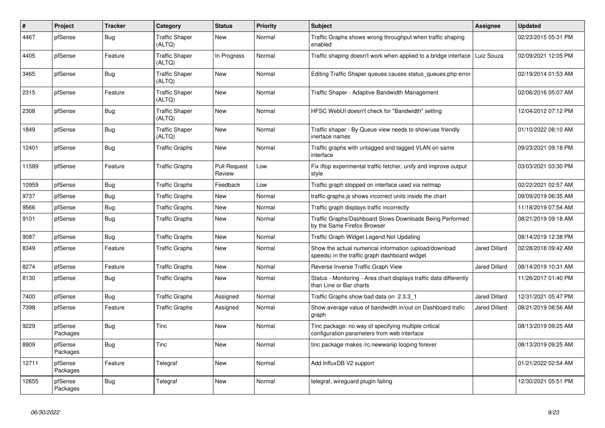| $\sharp$ | Project             | <b>Tracker</b> | Category                        | <b>Status</b>                 | Priority | <b>Subject</b>                                                                                          | Assignee             | <b>Updated</b>      |
|----------|---------------------|----------------|---------------------------------|-------------------------------|----------|---------------------------------------------------------------------------------------------------------|----------------------|---------------------|
| 4467     | pfSense             | Bug            | <b>Traffic Shaper</b><br>(ALTQ) | New                           | Normal   | Traffic Graphs shows wrong throughput when traffic shaping<br>enabled                                   |                      | 02/23/2015 05:31 PM |
| 4405     | pfSense             | Feature        | <b>Traffic Shaper</b><br>(ALTQ) | In Progress                   | Normal   | Traffic shaping doesn't work when applied to a bridge interface                                         | Luiz Souza           | 02/09/2021 12:05 PM |
| 3465     | pfSense             | Bug            | <b>Traffic Shaper</b><br>(ALTQ) | New                           | Normal   | Editing Traffic Shaper queues causes status_queues.php error                                            |                      | 02/19/2014 01:53 AM |
| 2315     | pfSense             | Feature        | <b>Traffic Shaper</b><br>(ALTQ) | <b>New</b>                    | Normal   | Traffic Shaper - Adaptive Bandwidth Management                                                          |                      | 02/06/2016 05:07 AM |
| 2308     | pfSense             | <b>Bug</b>     | <b>Traffic Shaper</b><br>(ALTQ) | <b>New</b>                    | Normal   | HFSC WebUI doesn't check for "Bandwidth" setting                                                        |                      | 12/04/2012 07:12 PM |
| 1849     | pfSense             | Bug            | <b>Traffic Shaper</b><br>(ALTQ) | New                           | Normal   | Traffic shaper - By Queue view needs to show/use friendly<br>inerface names                             |                      | 01/10/2022 08:10 AM |
| 12401    | pfSense             | Bug            | <b>Traffic Graphs</b>           | New                           | Normal   | Traffic graphs with untagged and tagged VLAN on same<br>interface                                       |                      | 09/23/2021 09:18 PM |
| 11589    | pfSense             | Feature        | <b>Traffic Graphs</b>           | <b>Pull Request</b><br>Review | Low      | Fix iftop experimental traffic fetcher, unify and improve output<br>style                               |                      | 03/03/2021 03:30 PM |
| 10959    | pfSense             | <b>Bug</b>     | <b>Traffic Graphs</b>           | Feedback                      | Low      | Traffic graph stopped on interface used via netmap                                                      |                      | 02/22/2021 02:57 AM |
| 9737     | pfSense             | <b>Bug</b>     | <b>Traffic Graphs</b>           | <b>New</b>                    | Normal   | traffic-graphs.js shows incorrect units inside the chart                                                |                      | 09/09/2019 06:35 AM |
| 9566     | pfSense             | Bug            | <b>Traffic Graphs</b>           | <b>New</b>                    | Normal   | Traffic graph displays traffic incorrectly                                                              |                      | 11/18/2019 07:54 AM |
| 9101     | pfSense             | <b>Bug</b>     | <b>Traffic Graphs</b>           | <b>New</b>                    | Normal   | Traffic Graphs/Dashboard Slows Downloads Being Performed<br>by the Same Firefox Browser                 |                      | 08/21/2019 09:18 AM |
| 9087     | pfSense             | <b>Bug</b>     | <b>Traffic Graphs</b>           | <b>New</b>                    | Normal   | Traffic Graph Widget Legend Not Updating                                                                |                      | 08/14/2019 12:38 PM |
| 8349     | pfSense             | Feature        | <b>Traffic Graphs</b>           | New                           | Normal   | Show the actual numerical information (upload/download<br>speeds) in the traffic graph dashboard widget | <b>Jared Dillard</b> | 02/28/2018 09:42 AM |
| 8274     | pfSense             | Feature        | <b>Traffic Graphs</b>           | New                           | Normal   | Reverse Inverse Traffic Graph View                                                                      | <b>Jared Dillard</b> | 08/14/2019 10:31 AM |
| 8130     | pfSense             | <b>Bug</b>     | <b>Traffic Graphs</b>           | New                           | Normal   | Status - Monitoring - Area chart displays traffic data differently<br>than Line or Bar charts           |                      | 11/26/2017 01:40 PM |
| 7400     | pfSense             | <b>Bug</b>     | <b>Traffic Graphs</b>           | Assigned                      | Normal   | Traffic Graphs show bad data on 2.3.3_1                                                                 | <b>Jared Dillard</b> | 12/31/2021 05:47 PM |
| 7398     | pfSense             | Feature        | <b>Traffic Graphs</b>           | Assigned                      | Normal   | Show average value of bandwidth in/out on Dashboard trafic<br>graph                                     | <b>Jared Dillard</b> | 08/21/2019 08:56 AM |
| 9229     | pfSense<br>Packages | <b>Bug</b>     | Tinc                            | <b>New</b>                    | Normal   | Tinc package: no way of specifying multiple critical<br>configuration parameters from web interface     |                      | 08/13/2019 09:25 AM |
| 8909     | pfSense<br>Packages | Bug            | Tinc                            | <b>New</b>                    | Normal   | tinc package makes /rc.newwanip looping forever                                                         |                      | 08/13/2019 09:25 AM |
| 12711    | pfSense<br>Packages | Feature        | Telegraf                        | New                           | Normal   | Add InfluxDB V2 support                                                                                 |                      | 01/21/2022 02:54 AM |
| 12655    | pfSense<br>Packages | Bug            | Telegraf                        | New                           | Normal   | telegraf, wireguard plugin failing                                                                      |                      | 12/30/2021 05:51 PM |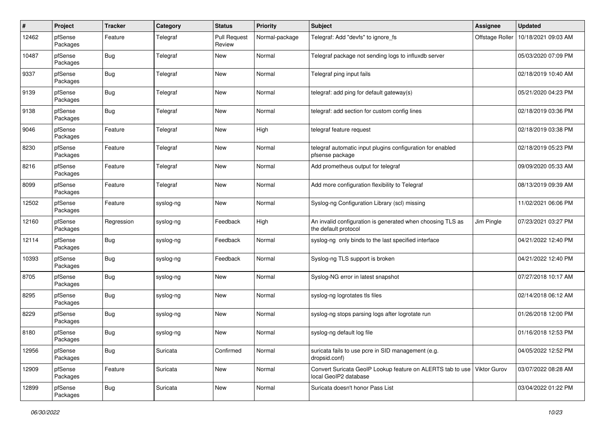| $\pmb{\#}$ | Project             | <b>Tracker</b> | Category  | <b>Status</b>                 | <b>Priority</b> | <b>Subject</b>                                                                                   | Assignee        | <b>Updated</b>      |
|------------|---------------------|----------------|-----------|-------------------------------|-----------------|--------------------------------------------------------------------------------------------------|-----------------|---------------------|
| 12462      | pfSense<br>Packages | Feature        | Telegraf  | <b>Pull Request</b><br>Review | Normal-package  | Telegraf: Add "devfs" to ignore_fs                                                               | Offstage Roller | 10/18/2021 09:03 AM |
| 10487      | pfSense<br>Packages | Bug            | Telegraf  | New                           | Normal          | Telegraf package not sending logs to influxdb server                                             |                 | 05/03/2020 07:09 PM |
| 9337       | pfSense<br>Packages | <b>Bug</b>     | Telegraf  | New                           | Normal          | Telegraf ping input fails                                                                        |                 | 02/18/2019 10:40 AM |
| 9139       | pfSense<br>Packages | <b>Bug</b>     | Telegraf  | New                           | Normal          | telegraf: add ping for default gateway(s)                                                        |                 | 05/21/2020 04:23 PM |
| 9138       | pfSense<br>Packages | <b>Bug</b>     | Telegraf  | New                           | Normal          | telegraf: add section for custom config lines                                                    |                 | 02/18/2019 03:36 PM |
| 9046       | pfSense<br>Packages | Feature        | Telegraf  | New                           | High            | telegraf feature request                                                                         |                 | 02/18/2019 03:38 PM |
| 8230       | pfSense<br>Packages | Feature        | Telegraf  | New                           | Normal          | telegraf automatic input plugins configuration for enabled<br>pfsense package                    |                 | 02/18/2019 05:23 PM |
| 8216       | pfSense<br>Packages | Feature        | Telegraf  | New                           | Normal          | Add prometheus output for telegraf                                                               |                 | 09/09/2020 05:33 AM |
| 8099       | pfSense<br>Packages | Feature        | Telegraf  | New                           | Normal          | Add more configuration flexibility to Telegraf                                                   |                 | 08/13/2019 09:39 AM |
| 12502      | pfSense<br>Packages | Feature        | syslog-ng | New                           | Normal          | Syslog-ng Configuration Library (scl) missing                                                    |                 | 11/02/2021 06:06 PM |
| 12160      | pfSense<br>Packages | Regression     | syslog-ng | Feedback                      | High            | An invalid configuration is generated when choosing TLS as<br>the default protocol               | Jim Pingle      | 07/23/2021 03:27 PM |
| 12114      | pfSense<br>Packages | Bug            | syslog-ng | Feedback                      | Normal          | syslog-ng only binds to the last specified interface                                             |                 | 04/21/2022 12:40 PM |
| 10393      | pfSense<br>Packages | <b>Bug</b>     | syslog-ng | Feedback                      | Normal          | Syslog-ng TLS support is broken                                                                  |                 | 04/21/2022 12:40 PM |
| 8705       | pfSense<br>Packages | <b>Bug</b>     | syslog-ng | New                           | Normal          | Syslog-NG error in latest snapshot                                                               |                 | 07/27/2018 10:17 AM |
| 8295       | pfSense<br>Packages | <b>Bug</b>     | syslog-ng | New                           | Normal          | syslog-ng logrotates tls files                                                                   |                 | 02/14/2018 06:12 AM |
| 8229       | pfSense<br>Packages | <b>Bug</b>     | syslog-ng | New                           | Normal          | syslog-ng stops parsing logs after logrotate run                                                 |                 | 01/26/2018 12:00 PM |
| 8180       | pfSense<br>Packages | <b>Bug</b>     | syslog-ng | New                           | Normal          | syslog-ng default log file                                                                       |                 | 01/16/2018 12:53 PM |
| 12956      | pfSense<br>Packages | <b>Bug</b>     | Suricata  | Confirmed                     | Normal          | suricata fails to use pcre in SID management (e.g.<br>dropsid.conf)                              |                 | 04/05/2022 12:52 PM |
| 12909      | pfSense<br>Packages | Feature        | Suricata  | New                           | Normal          | Convert Suricata GeoIP Lookup feature on ALERTS tab to use Viktor Gurov<br>local GeoIP2 database |                 | 03/07/2022 08:28 AM |
| 12899      | pfSense<br>Packages | <b>Bug</b>     | Suricata  | New                           | Normal          | Suricata doesn't honor Pass List                                                                 |                 | 03/04/2022 01:22 PM |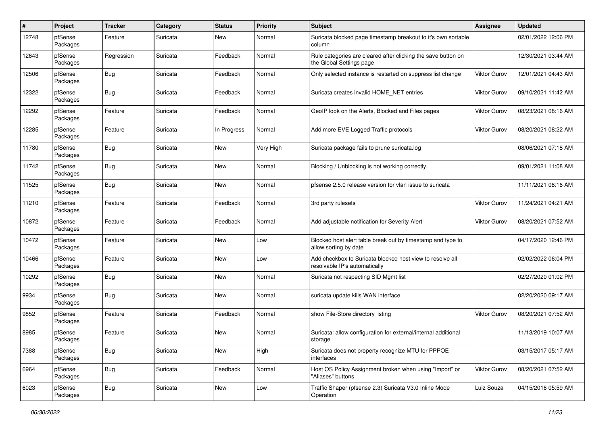| $\pmb{\#}$ | Project             | <b>Tracker</b> | Category | <b>Status</b> | <b>Priority</b> | <b>Subject</b>                                                                             | Assignee            | <b>Updated</b>      |
|------------|---------------------|----------------|----------|---------------|-----------------|--------------------------------------------------------------------------------------------|---------------------|---------------------|
| 12748      | pfSense<br>Packages | Feature        | Suricata | New           | Normal          | Suricata blocked page timestamp breakout to it's own sortable<br>column                    |                     | 02/01/2022 12:06 PM |
| 12643      | pfSense<br>Packages | Regression     | Suricata | Feedback      | Normal          | Rule categories are cleared after clicking the save button on<br>the Global Settings page  |                     | 12/30/2021 03:44 AM |
| 12506      | pfSense<br>Packages | <b>Bug</b>     | Suricata | Feedback      | Normal          | Only selected instance is restarted on suppress list change                                | Viktor Gurov        | 12/01/2021 04:43 AM |
| 12322      | pfSense<br>Packages | <b>Bug</b>     | Suricata | Feedback      | Normal          | Suricata creates invalid HOME NET entries                                                  | <b>Viktor Gurov</b> | 09/10/2021 11:42 AM |
| 12292      | pfSense<br>Packages | Feature        | Suricata | Feedback      | Normal          | GeoIP look on the Alerts, Blocked and Files pages                                          | Viktor Gurov        | 08/23/2021 08:16 AM |
| 12285      | pfSense<br>Packages | Feature        | Suricata | In Progress   | Normal          | Add more EVE Logged Traffic protocols                                                      | Viktor Gurov        | 08/20/2021 08:22 AM |
| 11780      | pfSense<br>Packages | Bug            | Suricata | New           | Very High       | Suricata package fails to prune suricata.log                                               |                     | 08/06/2021 07:18 AM |
| 11742      | pfSense<br>Packages | <b>Bug</b>     | Suricata | New           | Normal          | Blocking / Unblocking is not working correctly.                                            |                     | 09/01/2021 11:08 AM |
| 11525      | pfSense<br>Packages | <b>Bug</b>     | Suricata | New           | Normal          | pfsense 2.5.0 release version for vlan issue to suricata                                   |                     | 11/11/2021 08:16 AM |
| 11210      | pfSense<br>Packages | Feature        | Suricata | Feedback      | Normal          | 3rd party rulesets                                                                         | Viktor Gurov        | 11/24/2021 04:21 AM |
| 10872      | pfSense<br>Packages | Feature        | Suricata | Feedback      | Normal          | Add adjustable notification for Severity Alert                                             | <b>Viktor Gurov</b> | 08/20/2021 07:52 AM |
| 10472      | pfSense<br>Packages | Feature        | Suricata | New           | Low             | Blocked host alert table break out by timestamp and type to<br>allow sorting by date       |                     | 04/17/2020 12:46 PM |
| 10466      | pfSense<br>Packages | Feature        | Suricata | New           | Low             | Add checkbox to Suricata blocked host view to resolve all<br>resolvable IP's automatically |                     | 02/02/2022 06:04 PM |
| 10292      | pfSense<br>Packages | Bug            | Suricata | New           | Normal          | Suricata not respecting SID Mgmt list                                                      |                     | 02/27/2020 01:02 PM |
| 9934       | pfSense<br>Packages | <b>Bug</b>     | Suricata | New           | Normal          | suricata update kills WAN interface                                                        |                     | 02/20/2020 09:17 AM |
| 9852       | pfSense<br>Packages | Feature        | Suricata | Feedback      | Normal          | show File-Store directory listing                                                          | <b>Viktor Gurov</b> | 08/20/2021 07:52 AM |
| 8985       | pfSense<br>Packages | Feature        | Suricata | New           | Normal          | Suricata: allow configuration for external/internal additional<br>storage                  |                     | 11/13/2019 10:07 AM |
| 7388       | pfSense<br>Packages | <b>Bug</b>     | Suricata | New           | High            | Suricata does not property recognize MTU for PPPOE<br>interfaces                           |                     | 03/15/2017 05:17 AM |
| 6964       | pfSense<br>Packages | <b>Bug</b>     | Suricata | Feedback      | Normal          | Host OS Policy Assignment broken when using "Import" or<br>"Aliases" buttons               | Viktor Gurov        | 08/20/2021 07:52 AM |
| 6023       | pfSense<br>Packages | Bug            | Suricata | New           | Low             | Traffic Shaper (pfsense 2.3) Suricata V3.0 Inline Mode<br>Operation                        | Luiz Souza          | 04/15/2016 05:59 AM |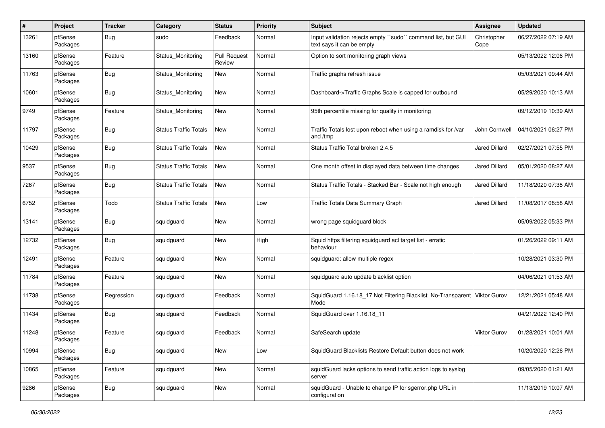| #     | Project             | <b>Tracker</b> | Category                     | <b>Status</b>                 | <b>Priority</b> | <b>Subject</b>                                                                           | Assignee             | <b>Updated</b>      |
|-------|---------------------|----------------|------------------------------|-------------------------------|-----------------|------------------------------------------------------------------------------------------|----------------------|---------------------|
| 13261 | pfSense<br>Packages | Bug            | sudo                         | Feedback                      | Normal          | Input validation rejects empty "sudo" command list, but GUI<br>text says it can be empty | Christopher<br>Cope  | 06/27/2022 07:19 AM |
| 13160 | pfSense<br>Packages | Feature        | Status Monitoring            | <b>Pull Request</b><br>Review | Normal          | Option to sort monitoring graph views                                                    |                      | 05/13/2022 12:06 PM |
| 11763 | pfSense<br>Packages | <b>Bug</b>     | Status Monitoring            | <b>New</b>                    | Normal          | Traffic graphs refresh issue                                                             |                      | 05/03/2021 09:44 AM |
| 10601 | pfSense<br>Packages | Bug            | Status_Monitoring            | New                           | Normal          | Dashboard->Traffic Graphs Scale is capped for outbound                                   |                      | 05/29/2020 10:13 AM |
| 9749  | pfSense<br>Packages | Feature        | Status Monitoring            | New                           | Normal          | 95th percentile missing for quality in monitoring                                        |                      | 09/12/2019 10:39 AM |
| 11797 | pfSense<br>Packages | <b>Bug</b>     | <b>Status Traffic Totals</b> | <b>New</b>                    | Normal          | Traffic Totals lost upon reboot when using a ramdisk for /var<br>and /tmp                | John Cornwell        | 04/10/2021 06:27 PM |
| 10429 | pfSense<br>Packages | <b>Bug</b>     | <b>Status Traffic Totals</b> | New                           | Normal          | Status Traffic Total broken 2.4.5                                                        | <b>Jared Dillard</b> | 02/27/2021 07:55 PM |
| 9537  | pfSense<br>Packages | Bug            | <b>Status Traffic Totals</b> | <b>New</b>                    | Normal          | One month offset in displayed data between time changes                                  | <b>Jared Dillard</b> | 05/01/2020 08:27 AM |
| 7267  | pfSense<br>Packages | <b>Bug</b>     | <b>Status Traffic Totals</b> | <b>New</b>                    | Normal          | Status Traffic Totals - Stacked Bar - Scale not high enough                              | <b>Jared Dillard</b> | 11/18/2020 07:38 AM |
| 6752  | pfSense<br>Packages | Todo           | <b>Status Traffic Totals</b> | New                           | Low             | Traffic Totals Data Summary Graph                                                        | <b>Jared Dillard</b> | 11/08/2017 08:58 AM |
| 13141 | pfSense<br>Packages | Bug            | squidguard                   | New                           | Normal          | wrong page squidguard block                                                              |                      | 05/09/2022 05:33 PM |
| 12732 | pfSense<br>Packages | <b>Bug</b>     | squidguard                   | New                           | High            | Squid https filtering squidguard acl target list - erratic<br>behaviour                  |                      | 01/26/2022 09:11 AM |
| 12491 | pfSense<br>Packages | Feature        | squidguard                   | New                           | Normal          | squidguard: allow multiple regex                                                         |                      | 10/28/2021 03:30 PM |
| 11784 | pfSense<br>Packages | Feature        | squidguard                   | New                           | Normal          | squidguard auto update blacklist option                                                  |                      | 04/06/2021 01:53 AM |
| 11738 | pfSense<br>Packages | Regression     | squidguard                   | Feedback                      | Normal          | SquidGuard 1.16.18_17 Not Filtering Blacklist No-Transparent Viktor Gurov<br>Mode        |                      | 12/21/2021 05:48 AM |
| 11434 | pfSense<br>Packages | Bug            | squidguard                   | Feedback                      | Normal          | SquidGuard over 1.16.18 11                                                               |                      | 04/21/2022 12:40 PM |
| 11248 | pfSense<br>Packages | Feature        | squidguard                   | Feedback                      | Normal          | SafeSearch update                                                                        | Viktor Gurov         | 01/28/2021 10:01 AM |
| 10994 | pfSense<br>Packages | <b>Bug</b>     | squidguard                   | New                           | Low             | SquidGuard Blacklists Restore Default button does not work                               |                      | 10/20/2020 12:26 PM |
| 10865 | pfSense<br>Packages | Feature        | squidguard                   | New                           | Normal          | squidGuard lacks options to send traffic action logs to syslog<br>server                 |                      | 09/05/2020 01:21 AM |
| 9286  | pfSense<br>Packages | <b>Bug</b>     | squidguard                   | New                           | Normal          | squidGuard - Unable to change IP for sgerror.php URL in<br>configuration                 |                      | 11/13/2019 10:07 AM |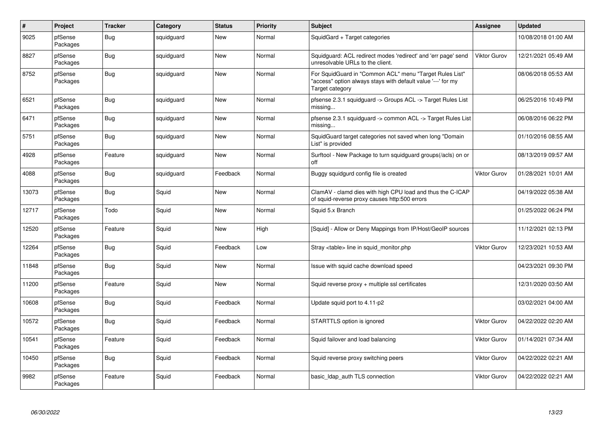| $\pmb{\#}$ | Project             | <b>Tracker</b> | Category   | <b>Status</b> | <b>Priority</b> | <b>Subject</b>                                                                                                                             | <b>Assignee</b> | Updated             |
|------------|---------------------|----------------|------------|---------------|-----------------|--------------------------------------------------------------------------------------------------------------------------------------------|-----------------|---------------------|
| 9025       | pfSense<br>Packages | <b>Bug</b>     | squidguard | New           | Normal          | SquidGard + Target categories                                                                                                              |                 | 10/08/2018 01:00 AM |
| 8827       | pfSense<br>Packages | <b>Bug</b>     | squidguard | New           | Normal          | Squidguard: ACL redirect modes 'redirect' and 'err page' send<br>unresolvable URLs to the client.                                          | Viktor Gurov    | 12/21/2021 05:49 AM |
| 8752       | pfSense<br>Packages | <b>Bug</b>     | squidguard | New           | Normal          | For SquidGuard in "Common ACL" menu "Target Rules List"<br>"access" option always stays with default value '---' for my<br>Target category |                 | 08/06/2018 05:53 AM |
| 6521       | pfSense<br>Packages | <b>Bug</b>     | squidguard | New           | Normal          | pfsense 2.3.1 squidguard -> Groups ACL -> Target Rules List<br>missing                                                                     |                 | 06/25/2016 10:49 PM |
| 6471       | pfSense<br>Packages | <b>Bug</b>     | squidguard | New           | Normal          | pfsense 2.3.1 squidguard -> common ACL -> Target Rules List<br>missing                                                                     |                 | 06/08/2016 06:22 PM |
| 5751       | pfSense<br>Packages | <b>Bug</b>     | squidguard | New           | Normal          | SquidGuard target categories not saved when long "Domain<br>List" is provided                                                              |                 | 01/10/2016 08:55 AM |
| 4928       | pfSense<br>Packages | Feature        | squidguard | New           | Normal          | Surftool - New Package to turn squidguard groups(/acls) on or<br>off                                                                       |                 | 08/13/2019 09:57 AM |
| 4088       | pfSense<br>Packages | Bug            | squidguard | Feedback      | Normal          | Buggy squidgurd config file is created                                                                                                     | Viktor Gurov    | 01/28/2021 10:01 AM |
| 13073      | pfSense<br>Packages | <b>Bug</b>     | Squid      | New           | Normal          | ClamAV - clamd dies with high CPU load and thus the C-ICAP<br>of squid-reverse proxy causes http:500 errors                                |                 | 04/19/2022 05:38 AM |
| 12717      | pfSense<br>Packages | Todo           | Squid      | New           | Normal          | Squid 5.x Branch                                                                                                                           |                 | 01/25/2022 06:24 PM |
| 12520      | pfSense<br>Packages | Feature        | Squid      | New           | High            | [Squid] - Allow or Deny Mappings from IP/Host/GeoIP sources                                                                                |                 | 11/12/2021 02:13 PM |
| 12264      | pfSense<br>Packages | <b>Bug</b>     | Squid      | Feedback      | Low             | Stray <table> line in squid_monitor.php</table>                                                                                            | Viktor Gurov    | 12/23/2021 10:53 AM |
| 11848      | pfSense<br>Packages | <b>Bug</b>     | Squid      | New           | Normal          | Issue with squid cache download speed                                                                                                      |                 | 04/23/2021 09:30 PM |
| 11200      | pfSense<br>Packages | Feature        | Squid      | New           | Normal          | Squid reverse $proxy + \text{multiple}$ asl certificates                                                                                   |                 | 12/31/2020 03:50 AM |
| 10608      | pfSense<br>Packages | <b>Bug</b>     | Squid      | Feedback      | Normal          | Update squid port to 4.11-p2                                                                                                               |                 | 03/02/2021 04:00 AM |
| 10572      | pfSense<br>Packages | <b>Bug</b>     | Squid      | Feedback      | Normal          | STARTTLS option is ignored                                                                                                                 | Viktor Gurov    | 04/22/2022 02:20 AM |
| 10541      | pfSense<br>Packages | Feature        | Squid      | Feedback      | Normal          | Squid failover and load balancing                                                                                                          | Viktor Gurov    | 01/14/2021 07:34 AM |
| 10450      | pfSense<br>Packages | <b>Bug</b>     | Squid      | Feedback      | Normal          | Squid reverse proxy switching peers                                                                                                        | Viktor Gurov    | 04/22/2022 02:21 AM |
| 9982       | pfSense<br>Packages | Feature        | Squid      | Feedback      | Normal          | basic_Idap_auth TLS connection                                                                                                             | Viktor Gurov    | 04/22/2022 02:21 AM |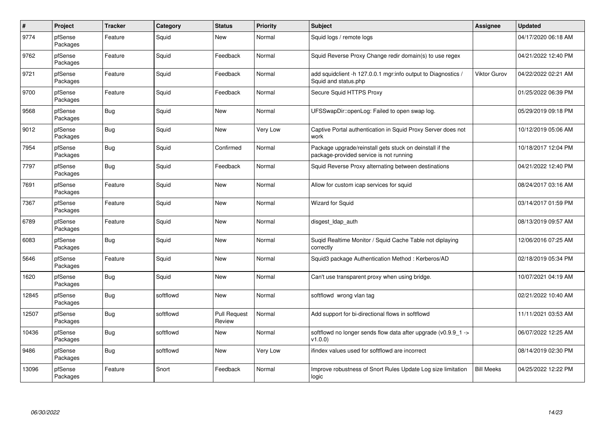| $\sharp$ | Project             | <b>Tracker</b> | Category  | <b>Status</b>                 | Priority        | <b>Subject</b>                                                                                      | <b>Assignee</b>     | <b>Updated</b>      |
|----------|---------------------|----------------|-----------|-------------------------------|-----------------|-----------------------------------------------------------------------------------------------------|---------------------|---------------------|
| 9774     | pfSense<br>Packages | Feature        | Squid     | <b>New</b>                    | Normal          | Squid logs / remote logs                                                                            |                     | 04/17/2020 06:18 AM |
| 9762     | pfSense<br>Packages | Feature        | Squid     | Feedback                      | Normal          | Squid Reverse Proxy Change redir domain(s) to use regex                                             |                     | 04/21/2022 12:40 PM |
| 9721     | pfSense<br>Packages | Feature        | Squid     | Feedback                      | Normal          | add squidclient -h 127.0.0.1 mgr:info output to Diagnostics /<br>Squid and status.php               | <b>Viktor Gurov</b> | 04/22/2022 02:21 AM |
| 9700     | pfSense<br>Packages | Feature        | Squid     | Feedback                      | Normal          | Secure Squid HTTPS Proxy                                                                            |                     | 01/25/2022 06:39 PM |
| 9568     | pfSense<br>Packages | Bug            | Squid     | New                           | Normal          | UFSSwapDir::openLog: Failed to open swap log.                                                       |                     | 05/29/2019 09:18 PM |
| 9012     | pfSense<br>Packages | <b>Bug</b>     | Squid     | <b>New</b>                    | <b>Very Low</b> | Captive Portal authentication in Squid Proxy Server does not<br>work                                |                     | 10/12/2019 05:06 AM |
| 7954     | pfSense<br>Packages | <b>Bug</b>     | Squid     | Confirmed                     | Normal          | Package upgrade/reinstall gets stuck on deinstall if the<br>package-provided service is not running |                     | 10/18/2017 12:04 PM |
| 7797     | pfSense<br>Packages | Bug            | Squid     | Feedback                      | Normal          | Squid Reverse Proxy alternating between destinations                                                |                     | 04/21/2022 12:40 PM |
| 7691     | pfSense<br>Packages | Feature        | Squid     | New                           | Normal          | Allow for custom icap services for squid                                                            |                     | 08/24/2017 03:16 AM |
| 7367     | pfSense<br>Packages | Feature        | Squid     | New                           | Normal          | <b>Wizard for Squid</b>                                                                             |                     | 03/14/2017 01:59 PM |
| 6789     | pfSense<br>Packages | Feature        | Squid     | <b>New</b>                    | Normal          | disgest Idap auth                                                                                   |                     | 08/13/2019 09:57 AM |
| 6083     | pfSense<br>Packages | <b>Bug</b>     | Squid     | New                           | Normal          | Suqid Realtime Monitor / Squid Cache Table not diplaying<br>correctly                               |                     | 12/06/2016 07:25 AM |
| 5646     | pfSense<br>Packages | Feature        | Squid     | New                           | Normal          | Squid3 package Authentication Method: Kerberos/AD                                                   |                     | 02/18/2019 05:34 PM |
| 1620     | pfSense<br>Packages | Bug            | Squid     | New                           | Normal          | Can't use transparent proxy when using bridge.                                                      |                     | 10/07/2021 04:19 AM |
| 12845    | pfSense<br>Packages | Bug            | softflowd | New                           | Normal          | softflowd wrong vlan tag                                                                            |                     | 02/21/2022 10:40 AM |
| 12507    | pfSense<br>Packages | <b>Bug</b>     | softflowd | <b>Pull Request</b><br>Review | Normal          | Add support for bi-directional flows in softflowd                                                   |                     | 11/11/2021 03:53 AM |
| 10436    | pfSense<br>Packages | <b>Bug</b>     | softflowd | New                           | Normal          | softflowd no longer sends flow data after upgrade ( $v0.9.91 - v$<br>v1.0.0                         |                     | 06/07/2022 12:25 AM |
| 9486     | pfSense<br>Packages | Bug            | softflowd | New                           | Very Low        | ifindex values used for softflowd are incorrect                                                     |                     | 08/14/2019 02:30 PM |
| 13096    | pfSense<br>Packages | Feature        | Snort     | Feedback                      | Normal          | Improve robustness of Snort Rules Update Log size limitation<br>logic                               | <b>Bill Meeks</b>   | 04/25/2022 12:22 PM |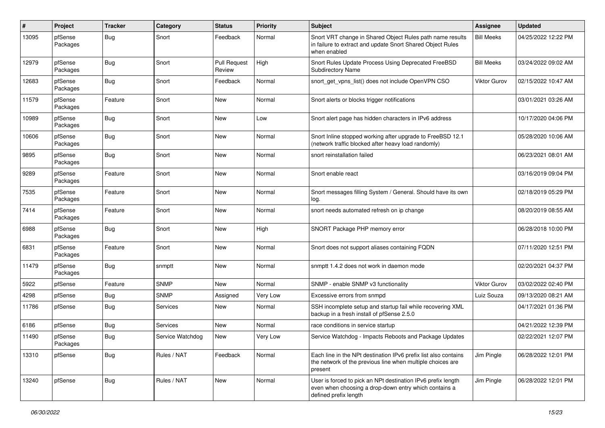| #     | Project             | <b>Tracker</b> | Category         | <b>Status</b>                 | <b>Priority</b> | <b>Subject</b>                                                                                                                                 | Assignee            | <b>Updated</b>      |
|-------|---------------------|----------------|------------------|-------------------------------|-----------------|------------------------------------------------------------------------------------------------------------------------------------------------|---------------------|---------------------|
| 13095 | pfSense<br>Packages | <b>Bug</b>     | Snort            | Feedback                      | Normal          | Snort VRT change in Shared Object Rules path name results<br>in failure to extract and update Snort Shared Object Rules<br>when enabled        | <b>Bill Meeks</b>   | 04/25/2022 12:22 PM |
| 12979 | pfSense<br>Packages | Bug            | Snort            | <b>Pull Request</b><br>Review | High            | Snort Rules Update Process Using Deprecated FreeBSD<br><b>Subdirectory Name</b>                                                                | <b>Bill Meeks</b>   | 03/24/2022 09:02 AM |
| 12683 | pfSense<br>Packages | <b>Bug</b>     | Snort            | Feedback                      | Normal          | snort_get_vpns_list() does not include OpenVPN CSO                                                                                             | <b>Viktor Gurov</b> | 02/15/2022 10:47 AM |
| 11579 | pfSense<br>Packages | Feature        | Snort            | New                           | Normal          | Snort alerts or blocks trigger notifications                                                                                                   |                     | 03/01/2021 03:26 AM |
| 10989 | pfSense<br>Packages | <b>Bug</b>     | Snort            | New                           | Low             | Snort alert page has hidden characters in IPv6 address                                                                                         |                     | 10/17/2020 04:06 PM |
| 10606 | pfSense<br>Packages | <b>Bug</b>     | Snort            | <b>New</b>                    | Normal          | Snort Inline stopped working after upgrade to FreeBSD 12.1<br>(network traffic blocked after heavy load randomly)                              |                     | 05/28/2020 10:06 AM |
| 9895  | pfSense<br>Packages | <b>Bug</b>     | Snort            | New                           | Normal          | snort reinstallation failed                                                                                                                    |                     | 06/23/2021 08:01 AM |
| 9289  | pfSense<br>Packages | Feature        | Snort            | New                           | Normal          | Snort enable react                                                                                                                             |                     | 03/16/2019 09:04 PM |
| 7535  | pfSense<br>Packages | Feature        | Snort            | New                           | Normal          | Snort messages filling System / General. Should have its own<br>log.                                                                           |                     | 02/18/2019 05:29 PM |
| 7414  | pfSense<br>Packages | Feature        | Snort            | New                           | Normal          | snort needs automated refresh on ip change                                                                                                     |                     | 08/20/2019 08:55 AM |
| 6988  | pfSense<br>Packages | Bug            | Snort            | New                           | High            | SNORT Package PHP memory error                                                                                                                 |                     | 06/28/2018 10:00 PM |
| 6831  | pfSense<br>Packages | Feature        | Snort            | New                           | Normal          | Snort does not support aliases containing FQDN                                                                                                 |                     | 07/11/2020 12:51 PM |
| 11479 | pfSense<br>Packages | <b>Bug</b>     | snmptt           | New                           | Normal          | snmptt 1.4.2 does not work in daemon mode                                                                                                      |                     | 02/20/2021 04:37 PM |
| 5922  | pfSense             | Feature        | <b>SNMP</b>      | New                           | Normal          | SNMP - enable SNMP v3 functionality                                                                                                            | <b>Viktor Gurov</b> | 03/02/2022 02:40 PM |
| 4298  | pfSense             | <b>Bug</b>     | <b>SNMP</b>      | Assigned                      | Very Low        | Excessive errors from snmpd                                                                                                                    | Luiz Souza          | 09/13/2020 08:21 AM |
| 11786 | pfSense             | <b>Bug</b>     | Services         | New                           | Normal          | SSH incomplete setup and startup fail while recovering XML<br>backup in a fresh install of pfSense 2.5.0                                       |                     | 04/17/2021 01:36 PM |
| 6186  | pfSense             | <b>Bug</b>     | Services         | New                           | Normal          | race conditions in service startup                                                                                                             |                     | 04/21/2022 12:39 PM |
| 11490 | pfSense<br>Packages | <b>Bug</b>     | Service Watchdog | New                           | Very Low        | Service Watchdog - Impacts Reboots and Package Updates                                                                                         |                     | 02/22/2021 12:07 PM |
| 13310 | pfSense             | <b>Bug</b>     | Rules / NAT      | Feedback                      | Normal          | Each line in the NPt destination IPv6 prefix list also contains<br>the network of the previous line when multiple choices are<br>present       | Jim Pingle          | 06/28/2022 12:01 PM |
| 13240 | pfSense             | <b>Bug</b>     | Rules / NAT      | New                           | Normal          | User is forced to pick an NPt destination IPv6 prefix length<br>even when choosing a drop-down entry which contains a<br>defined prefix length | Jim Pingle          | 06/28/2022 12:01 PM |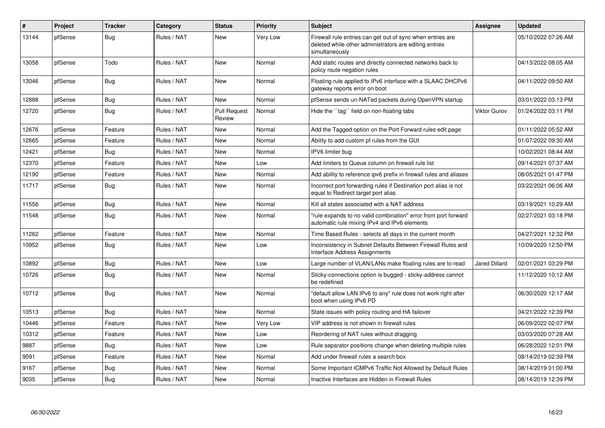| #     | <b>Project</b> | <b>Tracker</b> | Category    | <b>Status</b>                 | Priority        | <b>Subject</b>                                                                                                                         | <b>Assignee</b>      | <b>Updated</b>      |
|-------|----------------|----------------|-------------|-------------------------------|-----------------|----------------------------------------------------------------------------------------------------------------------------------------|----------------------|---------------------|
| 13144 | pfSense        | <b>Bug</b>     | Rules / NAT | <b>New</b>                    | <b>Very Low</b> | Firewall rule entries can get out of sync when entries are<br>deleted while other administrators are editing entries<br>simultaneously |                      | 05/10/2022 07:26 AM |
| 13058 | pfSense        | Todo           | Rules / NAT | <b>New</b>                    | Normal          | Add static routes and directly connected networks back to<br>policy route negation rules                                               |                      | 04/13/2022 08:05 AM |
| 13046 | pfSense        | <b>Bug</b>     | Rules / NAT | <b>New</b>                    | Normal          | Floating rule applied to IPv6 interface with a SLAAC DHCPv6<br>gateway reports error on boot                                           |                      | 04/11/2022 09:50 AM |
| 12888 | pfSense        | <b>Bug</b>     | Rules / NAT | <b>New</b>                    | Normal          | pfSense sends un-NATed packets during OpenVPN startup                                                                                  |                      | 03/01/2022 03:13 PM |
| 12720 | pfSense        | Bug            | Rules / NAT | <b>Pull Request</b><br>Review | Normal          | Hide the "tag" field on non-floating tabs                                                                                              | Viktor Gurov         | 01/24/2022 03:11 PM |
| 12676 | pfSense        | Feature        | Rules / NAT | New                           | Normal          | Add the Tagged option on the Port Forward rules edit page                                                                              |                      | 01/11/2022 05:52 AM |
| 12665 | pfSense        | Feature        | Rules / NAT | New                           | Normal          | Ability to add custom pf rules from the GUI                                                                                            |                      | 01/07/2022 09:30 AM |
| 12421 | pfSense        | <b>Bug</b>     | Rules / NAT | New                           | Normal          | IPV6 limiter bug                                                                                                                       |                      | 10/02/2021 08:44 AM |
| 12370 | pfSense        | Feature        | Rules / NAT | New                           | Low             | Add limiters to Queue column on firewall rule list                                                                                     |                      | 09/14/2021 07:37 AM |
| 12190 | pfSense        | Feature        | Rules / NAT | <b>New</b>                    | Normal          | Add ability to reference ipv6 prefix in firewall rules and aliases                                                                     |                      | 08/05/2021 01:47 PM |
| 11717 | pfSense        | <b>Bug</b>     | Rules / NAT | New                           | Normal          | Incorrect port forwarding rules if Destination port alias is not<br>equal to Redirect target port alias                                |                      | 03/22/2021 06:06 AM |
| 11556 | pfSense        | <b>Bug</b>     | Rules / NAT | <b>New</b>                    | Normal          | Kill all states associated with a NAT address                                                                                          |                      | 03/19/2021 10:29 AM |
| 11548 | pfSense        | Bug            | Rules / NAT | <b>New</b>                    | Normal          | "rule expands to no valid combination" error from port forward<br>automatic rule mixing IPv4 and IPv6 elements                         |                      | 02/27/2021 03:18 PM |
| 11262 | pfSense        | Feature        | Rules / NAT | <b>New</b>                    | Normal          | Time Based Rules - selects all days in the current month                                                                               |                      | 04/27/2021 12:32 PM |
| 10952 | pfSense        | Bug            | Rules / NAT | New                           | Low             | Inconsistency in Subnet Defaults Between Firewall Rules and<br>Interface Address Assignments                                           |                      | 10/09/2020 12:50 PM |
| 10892 | pfSense        | <b>Bug</b>     | Rules / NAT | New                           | Low             | Large number of VLAN/LANs make floating rules are to read                                                                              | <b>Jared Dillard</b> | 02/01/2021 03:29 PM |
| 10726 | pfSense        | <b>Bug</b>     | Rules / NAT | New                           | Normal          | Sticky-connections option is bugged - sticky-address cannot<br>be redefined                                                            |                      | 11/12/2020 10:12 AM |
| 10712 | pfSense        | Bug            | Rules / NAT | New                           | Normal          | "default allow LAN IPv6 to any" rule does not work right after<br>boot when using IPv6 PD                                              |                      | 06/30/2020 12:17 AM |
| 10513 | pfSense        | Bug            | Rules / NAT | New                           | Normal          | State issues with policy routing and HA failover                                                                                       |                      | 04/21/2022 12:39 PM |
| 10446 | pfSense        | Feature        | Rules / NAT | New                           | Very Low        | VIP address is not shown in firewall rules                                                                                             |                      | 06/09/2022 02:07 PM |
| 10312 | pfSense        | Feature        | Rules / NAT | New                           | Low             | Reordering of NAT rules without dragging                                                                                               |                      | 03/03/2020 07:28 AM |
| 9887  | pfSense        | <b>Bug</b>     | Rules / NAT | New                           | Low             | Rule separator positions change when deleting multiple rules                                                                           |                      | 06/28/2022 12:01 PM |
| 9591  | pfSense        | Feature        | Rules / NAT | New                           | Normal          | Add under firewall rules a search box                                                                                                  |                      | 08/14/2019 02:39 PM |
| 9167  | pfSense        | Bug            | Rules / NAT | New                           | Normal          | Some Important ICMPv6 Traffic Not Allowed by Default Rules                                                                             |                      | 08/14/2019 01:00 PM |
| 9035  | pfSense        | Bug            | Rules / NAT | New                           | Normal          | Inactive Interfaces are Hidden in Firewall Rules                                                                                       |                      | 08/14/2019 12:39 PM |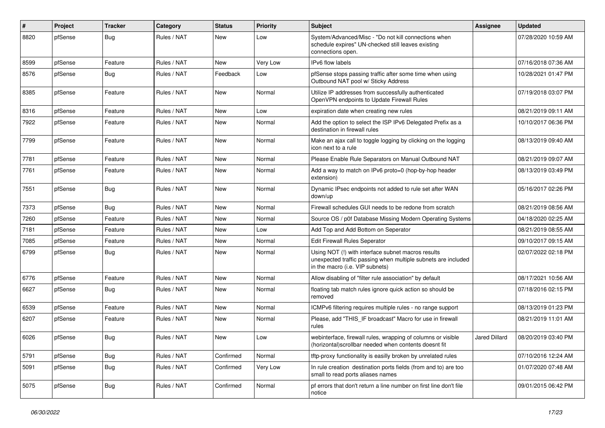| $\vert$ # | Project | <b>Tracker</b> | Category    | <b>Status</b> | <b>Priority</b> | <b>Subject</b>                                                                                                                                         | Assignee             | <b>Updated</b>      |
|-----------|---------|----------------|-------------|---------------|-----------------|--------------------------------------------------------------------------------------------------------------------------------------------------------|----------------------|---------------------|
| 8820      | pfSense | <b>Bug</b>     | Rules / NAT | New           | Low             | System/Advanced/Misc - "Do not kill connections when<br>schedule expires" UN-checked still leaves existing<br>connections open.                        |                      | 07/28/2020 10:59 AM |
| 8599      | pfSense | Feature        | Rules / NAT | New           | <b>Very Low</b> | IPv6 flow labels                                                                                                                                       |                      | 07/16/2018 07:36 AM |
| 8576      | pfSense | <b>Bug</b>     | Rules / NAT | Feedback      | Low             | pfSense stops passing traffic after some time when using<br>Outbound NAT pool w/ Sticky Address                                                        |                      | 10/28/2021 01:47 PM |
| 8385      | pfSense | Feature        | Rules / NAT | New           | Normal          | Utilize IP addresses from successfully authenticated<br>OpenVPN endpoints to Update Firewall Rules                                                     |                      | 07/19/2018 03:07 PM |
| 8316      | pfSense | Feature        | Rules / NAT | New           | Low             | expiration date when creating new rules                                                                                                                |                      | 08/21/2019 09:11 AM |
| 7922      | pfSense | Feature        | Rules / NAT | New           | Normal          | Add the option to select the ISP IPv6 Delegated Prefix as a<br>destination in firewall rules                                                           |                      | 10/10/2017 06:36 PM |
| 7799      | pfSense | Feature        | Rules / NAT | New           | Normal          | Make an ajax call to toggle logging by clicking on the logging<br>icon next to a rule                                                                  |                      | 08/13/2019 09:40 AM |
| 7781      | pfSense | Feature        | Rules / NAT | New           | Normal          | Please Enable Rule Separators on Manual Outbound NAT                                                                                                   |                      | 08/21/2019 09:07 AM |
| 7761      | pfSense | Feature        | Rules / NAT | New           | Normal          | Add a way to match on IPv6 proto=0 (hop-by-hop header<br>extension)                                                                                    |                      | 08/13/2019 03:49 PM |
| 7551      | pfSense | <b>Bug</b>     | Rules / NAT | New           | Normal          | Dynamic IPsec endpoints not added to rule set after WAN<br>down/up                                                                                     |                      | 05/16/2017 02:26 PM |
| 7373      | pfSense | <b>Bug</b>     | Rules / NAT | New           | Normal          | Firewall schedules GUI needs to be redone from scratch                                                                                                 |                      | 08/21/2019 08:56 AM |
| 7260      | pfSense | Feature        | Rules / NAT | New           | Normal          | Source OS / p0f Database Missing Modern Operating Systems                                                                                              |                      | 04/18/2020 02:25 AM |
| 7181      | pfSense | Feature        | Rules / NAT | New           | Low             | Add Top and Add Bottom on Seperator                                                                                                                    |                      | 08/21/2019 08:55 AM |
| 7085      | pfSense | Feature        | Rules / NAT | New           | Normal          | Edit Firewall Rules Seperator                                                                                                                          |                      | 09/10/2017 09:15 AM |
| 6799      | pfSense | Bug            | Rules / NAT | New           | Normal          | Using NOT (!) with interface subnet macros results<br>unexpected traffic passing when multiple subnets are included<br>in the macro (i.e. VIP subnets) |                      | 02/07/2022 02:18 PM |
| 6776      | pfSense | Feature        | Rules / NAT | New           | Normal          | Allow disabling of "filter rule association" by default                                                                                                |                      | 08/17/2021 10:56 AM |
| 6627      | pfSense | <b>Bug</b>     | Rules / NAT | New           | Normal          | floating tab match rules ignore quick action so should be<br>removed                                                                                   |                      | 07/18/2016 02:15 PM |
| 6539      | pfSense | Feature        | Rules / NAT | New           | Normal          | ICMPv6 filtering requires multiple rules - no range support                                                                                            |                      | 08/13/2019 01:23 PM |
| 6207      | pfSense | Feature        | Rules / NAT | New           | Normal          | Please, add "THIS_IF broadcast" Macro for use in firewall<br>rules                                                                                     |                      | 08/21/2019 11:01 AM |
| 6026      | pfSense | Bug            | Rules / NAT | New           | Low             | webinterface, firewall rules, wrapping of columns or visible<br>(horizontal) scrollbar needed when contents doesnt fit                                 | <b>Jared Dillard</b> | 08/20/2019 03:40 PM |
| 5791      | pfSense | <b>Bug</b>     | Rules / NAT | Confirmed     | Normal          | tftp-proxy functionality is easilly broken by unrelated rules                                                                                          |                      | 07/10/2016 12:24 AM |
| 5091      | pfSense | <b>Bug</b>     | Rules / NAT | Confirmed     | Very Low        | In rule creation destination ports fields (from and to) are too<br>small to read ports aliases names                                                   |                      | 01/07/2020 07:48 AM |
| 5075      | pfSense | <b>Bug</b>     | Rules / NAT | Confirmed     | Normal          | pf errors that don't return a line number on first line don't file<br>notice                                                                           |                      | 09/01/2015 06:42 PM |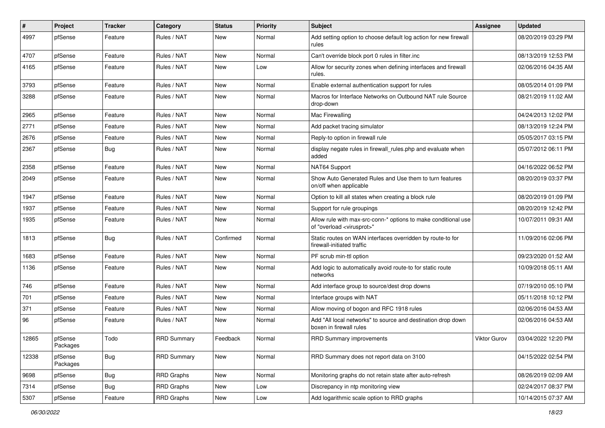| #     | Project             | <b>Tracker</b> | Category           | <b>Status</b> | <b>Priority</b> | <b>Subject</b>                                                                                          | Assignee            | <b>Updated</b>      |
|-------|---------------------|----------------|--------------------|---------------|-----------------|---------------------------------------------------------------------------------------------------------|---------------------|---------------------|
| 4997  | pfSense             | Feature        | Rules / NAT        | New           | Normal          | Add setting option to choose default log action for new firewall<br>rules                               |                     | 08/20/2019 03:29 PM |
| 4707  | pfSense             | Feature        | Rules / NAT        | New           | Normal          | Can't override block port 0 rules in filter.inc                                                         |                     | 08/13/2019 12:53 PM |
| 4165  | pfSense             | Feature        | Rules / NAT        | New           | Low             | Allow for security zones when defining interfaces and firewall<br>rules.                                |                     | 02/06/2016 04:35 AM |
| 3793  | pfSense             | Feature        | Rules / NAT        | New           | Normal          | Enable external authentication support for rules                                                        |                     | 08/05/2014 01:09 PM |
| 3288  | pfSense             | Feature        | Rules / NAT        | New           | Normal          | Macros for Interface Networks on Outbound NAT rule Source<br>drop-down                                  |                     | 08/21/2019 11:02 AM |
| 2965  | pfSense             | Feature        | Rules / NAT        | New           | Normal          | Mac Firewalling                                                                                         |                     | 04/24/2013 12:02 PM |
| 2771  | pfSense             | Feature        | Rules / NAT        | New           | Normal          | Add packet tracing simulator                                                                            |                     | 08/13/2019 12:24 PM |
| 2676  | pfSense             | Feature        | Rules / NAT        | New           | Normal          | Reply-to option in firewall rule                                                                        |                     | 05/05/2017 03:15 PM |
| 2367  | pfSense             | Bug            | Rules / NAT        | New           | Normal          | display negate rules in firewall rules php and evaluate when<br>added                                   |                     | 05/07/2012 06:11 PM |
| 2358  | pfSense             | Feature        | Rules / NAT        | New           | Normal          | NAT64 Support                                                                                           |                     | 04/16/2022 06:52 PM |
| 2049  | pfSense             | Feature        | Rules / NAT        | New           | Normal          | Show Auto Generated Rules and Use them to turn features<br>on/off when applicable                       |                     | 08/20/2019 03:37 PM |
| 1947  | pfSense             | Feature        | Rules / NAT        | New           | Normal          | Option to kill all states when creating a block rule                                                    |                     | 08/20/2019 01:09 PM |
| 1937  | pfSense             | Feature        | Rules / NAT        | New           | Normal          | Support for rule groupings                                                                              |                     | 08/20/2019 12:42 PM |
| 1935  | pfSense             | Feature        | Rules / NAT        | New           | Normal          | Allow rule with max-src-conn-* options to make conditional use<br>of "overload <virusprot>"</virusprot> |                     | 10/07/2011 09:31 AM |
| 1813  | pfSense             | <b>Bug</b>     | Rules / NAT        | Confirmed     | Normal          | Static routes on WAN interfaces overridden by route-to for<br>firewall-initiated traffic                |                     | 11/09/2016 02:06 PM |
| 1683  | pfSense             | Feature        | Rules / NAT        | New           | Normal          | PF scrub min-ttl option                                                                                 |                     | 09/23/2020 01:52 AM |
| 1136  | pfSense             | Feature        | Rules / NAT        | New           | Normal          | Add logic to automatically avoid route-to for static route<br>networks                                  |                     | 10/09/2018 05:11 AM |
| 746   | pfSense             | Feature        | Rules / NAT        | New           | Normal          | Add interface group to source/dest drop downs                                                           |                     | 07/19/2010 05:10 PM |
| 701   | pfSense             | Feature        | Rules / NAT        | New           | Normal          | Interface groups with NAT                                                                               |                     | 05/11/2018 10:12 PM |
| 371   | pfSense             | Feature        | Rules / NAT        | New           | Normal          | Allow moving of bogon and RFC 1918 rules                                                                |                     | 02/06/2016 04:53 AM |
| 96    | pfSense             | Feature        | Rules / NAT        | New           | Normal          | Add "All local networks" to source and destination drop down<br>boxen in firewall rules                 |                     | 02/06/2016 04:53 AM |
| 12865 | pfSense<br>Packages | Todo           | <b>RRD Summary</b> | Feedback      | Normal          | <b>RRD Summary improvements</b>                                                                         | <b>Viktor Gurov</b> | 03/04/2022 12:20 PM |
| 12338 | pfSense<br>Packages | <b>Bug</b>     | <b>RRD Summary</b> | New           | Normal          | RRD Summary does not report data on 3100                                                                |                     | 04/15/2022 02:54 PM |
| 9698  | pfSense             | <b>Bug</b>     | <b>RRD Graphs</b>  | New           | Normal          | Monitoring graphs do not retain state after auto-refresh                                                |                     | 08/26/2019 02:09 AM |
| 7314  | pfSense             | <b>Bug</b>     | <b>RRD Graphs</b>  | New           | Low             | Discrepancy in ntp monitoring view                                                                      |                     | 02/24/2017 08:37 PM |
| 5307  | pfSense             | Feature        | <b>RRD Graphs</b>  | New           | Low             | Add logarithmic scale option to RRD graphs                                                              |                     | 10/14/2015 07:37 AM |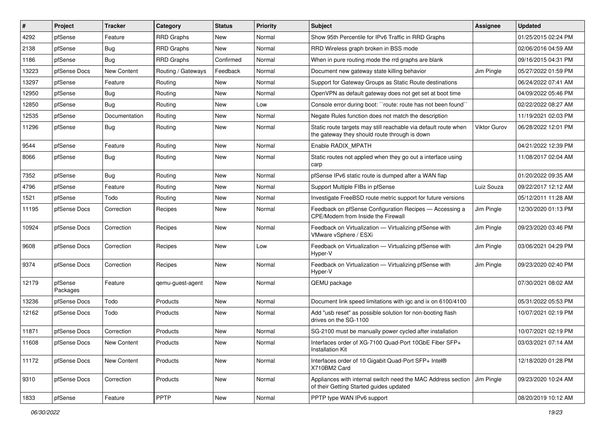| ∦     | Project             | <b>Tracker</b>     | Category           | <b>Status</b> | <b>Priority</b> | Subject                                                                                                          | Assignee            | <b>Updated</b>      |
|-------|---------------------|--------------------|--------------------|---------------|-----------------|------------------------------------------------------------------------------------------------------------------|---------------------|---------------------|
| 4292  | pfSense             | Feature            | <b>RRD Graphs</b>  | New           | Normal          | Show 95th Percentile for IPv6 Traffic in RRD Graphs                                                              |                     | 01/25/2015 02:24 PM |
| 2138  | pfSense             | Bug                | <b>RRD Graphs</b>  | New           | Normal          | RRD Wireless graph broken in BSS mode                                                                            |                     | 02/06/2016 04:59 AM |
| 1186  | pfSense             | <b>Bug</b>         | <b>RRD Graphs</b>  | Confirmed     | Normal          | When in pure routing mode the rrd graphs are blank                                                               |                     | 09/16/2015 04:31 PM |
| 13223 | pfSense Docs        | <b>New Content</b> | Routing / Gateways | Feedback      | Normal          | Document new gateway state killing behavior                                                                      | Jim Pingle          | 05/27/2022 01:59 PM |
| 13297 | pfSense             | Feature            | Routing            | New           | Normal          | Support for Gateway Groups as Static Route destinations                                                          |                     | 06/24/2022 07:41 AM |
| 12950 | pfSense             | <b>Bug</b>         | Routing            | New           | Normal          | OpenVPN as default gateway does not get set at boot time                                                         |                     | 04/09/2022 05:46 PM |
| 12850 | pfSense             | <b>Bug</b>         | Routing            | New           | Low             | Console error during boot: "route: route has not been found"                                                     |                     | 02/22/2022 08:27 AM |
| 12535 | pfSense             | Documentation      | Routing            | New           | Normal          | Negate Rules function does not match the description                                                             |                     | 11/19/2021 02:03 PM |
| 11296 | pfSense             | Bug                | Routing            | New           | Normal          | Static route targets may still reachable via default route when<br>the gateway they should route through is down | <b>Viktor Gurov</b> | 06/28/2022 12:01 PM |
| 9544  | pfSense             | Feature            | Routing            | New           | Normal          | Enable RADIX MPATH                                                                                               |                     | 04/21/2022 12:39 PM |
| 8066  | pfSense             | Bug                | Routing            | New           | Normal          | Static routes not applied when they go out a interface using<br>carp                                             |                     | 11/08/2017 02:04 AM |
| 7352  | pfSense             | Bug                | Routing            | New           | Normal          | pfSense IPv6 static route is dumped after a WAN flap                                                             |                     | 01/20/2022 09:35 AM |
| 4796  | pfSense             | Feature            | Routing            | New           | Normal          | Support Multiple FIBs in pfSense                                                                                 | Luiz Souza          | 09/22/2017 12:12 AM |
| 1521  | pfSense             | Todo               | Routing            | New           | Normal          | Investigate FreeBSD route metric support for future versions                                                     |                     | 05/12/2011 11:28 AM |
| 11195 | pfSense Docs        | Correction         | Recipes            | New           | Normal          | Feedback on pfSense Configuration Recipes - Accessing a<br>CPE/Modem from Inside the Firewall                    | Jim Pingle          | 12/30/2020 01:13 PM |
| 10924 | pfSense Docs        | Correction         | Recipes            | New           | Normal          | Feedback on Virtualization - Virtualizing pfSense with<br>VMware vSphere / ESXi                                  | Jim Pingle          | 09/23/2020 03:46 PM |
| 9608  | pfSense Docs        | Correction         | Recipes            | New           | Low             | Feedback on Virtualization - Virtualizing pfSense with<br>Hyper-V                                                | Jim Pingle          | 03/06/2021 04:29 PM |
| 9374  | pfSense Docs        | Correction         | Recipes            | New           | Normal          | Feedback on Virtualization - Virtualizing pfSense with<br>Hyper-V                                                | Jim Pingle          | 09/23/2020 02:40 PM |
| 12179 | pfSense<br>Packages | Feature            | qemu-guest-agent   | New           | Normal          | QEMU package                                                                                                     |                     | 07/30/2021 08:02 AM |
| 13236 | pfSense Docs        | Todo               | Products           | New           | Normal          | Document link speed limitations with igc and ix on 6100/4100                                                     |                     | 05/31/2022 05:53 PM |
| 12162 | pfSense Docs        | Todo               | Products           | New           | Normal          | Add "usb reset" as possible solution for non-booting flash<br>drives on the SG-1100                              |                     | 10/07/2021 02:19 PM |
| 11871 | pfSense Docs        | Correction         | Products           | New           | Normal          | SG-2100 must be manually power cycled after installation                                                         |                     | 10/07/2021 02:19 PM |
| 11608 | pfSense Docs        | New Content        | Products           | New           | Normal          | Interfaces order of XG-7100 Quad-Port 10GbE Fiber SFP+<br>Installation Kit                                       |                     | 03/03/2021 07:14 AM |
| 11172 | pfSense Docs        | New Content        | Products           | New           | Normal          | Interfaces order of 10 Gigabit Quad-Port SFP+ Intel®<br>X710BM2 Card                                             |                     | 12/18/2020 01:28 PM |
| 9310  | pfSense Docs        | Correction         | Products           | New           | Normal          | Appliances with internal switch need the MAC Address section<br>of their Getting Started guides updated          | Jim Pingle          | 09/23/2020 10:24 AM |
| 1833  | pfSense             | Feature            | <b>PPTP</b>        | New           | Normal          | PPTP type WAN IPv6 support                                                                                       |                     | 08/20/2019 10:12 AM |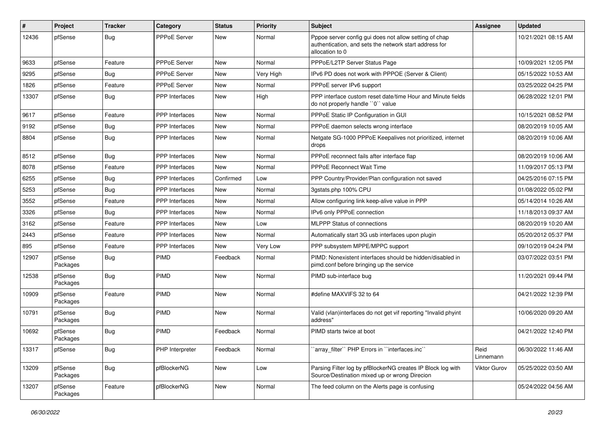| #     | Project             | <b>Tracker</b> | Category              | <b>Status</b> | <b>Priority</b> | <b>Subject</b>                                                                                                                      | Assignee          | <b>Updated</b>      |
|-------|---------------------|----------------|-----------------------|---------------|-----------------|-------------------------------------------------------------------------------------------------------------------------------------|-------------------|---------------------|
| 12436 | pfSense             | Bug            | <b>PPPoE Server</b>   | New           | Normal          | Pppoe server config gui does not allow setting of chap<br>authentication, and sets the network start address for<br>allocation to 0 |                   | 10/21/2021 08:15 AM |
| 9633  | pfSense             | Feature        | PPPoE Server          | New           | Normal          | PPPoE/L2TP Server Status Page                                                                                                       |                   | 10/09/2021 12:05 PM |
| 9295  | pfSense             | <b>Bug</b>     | <b>PPPoE Server</b>   | <b>New</b>    | Very High       | IPv6 PD does not work with PPPOE (Server & Client)                                                                                  |                   | 05/15/2022 10:53 AM |
| 1826  | pfSense             | Feature        | PPPoE Server          | New           | Normal          | PPPoE server IPv6 support                                                                                                           |                   | 03/25/2022 04:25 PM |
| 13307 | pfSense             | Bug            | <b>PPP</b> Interfaces | <b>New</b>    | High            | PPP interface custom reset date/time Hour and Minute fields<br>do not properly handle "0" value                                     |                   | 06/28/2022 12:01 PM |
| 9617  | pfSense             | Feature        | <b>PPP</b> Interfaces | New           | Normal          | PPPoE Static IP Configuration in GUI                                                                                                |                   | 10/15/2021 08:52 PM |
| 9192  | pfSense             | Bug            | PPP Interfaces        | New           | Normal          | PPPoE daemon selects wrong interface                                                                                                |                   | 08/20/2019 10:05 AM |
| 8804  | pfSense             | Bug            | <b>PPP</b> Interfaces | New           | Normal          | Netgate SG-1000 PPPoE Keepalives not prioritized, internet<br>drops                                                                 |                   | 08/20/2019 10:06 AM |
| 8512  | pfSense             | <b>Bug</b>     | <b>PPP</b> Interfaces | <b>New</b>    | Normal          | PPPoE reconnect fails after interface flap                                                                                          |                   | 08/20/2019 10:06 AM |
| 8078  | pfSense             | Feature        | <b>PPP</b> Interfaces | New           | Normal          | <b>PPPoE Reconnect Wait Time</b>                                                                                                    |                   | 11/09/2017 05:13 PM |
| 6255  | pfSense             | Bug            | <b>PPP</b> Interfaces | Confirmed     | Low             | PPP Country/Provider/Plan configuration not saved                                                                                   |                   | 04/25/2016 07:15 PM |
| 5253  | pfSense             | Bug            | PPP Interfaces        | New           | Normal          | 3gstats.php 100% CPU                                                                                                                |                   | 01/08/2022 05:02 PM |
| 3552  | pfSense             | Feature        | <b>PPP</b> Interfaces | New           | Normal          | Allow configuring link keep-alive value in PPP                                                                                      |                   | 05/14/2014 10:26 AM |
| 3326  | pfSense             | Bug            | PPP Interfaces        | New           | Normal          | IPv6 only PPPoE connection                                                                                                          |                   | 11/18/2013 09:37 AM |
| 3162  | pfSense             | Feature        | <b>PPP</b> Interfaces | New           | Low             | <b>MLPPP Status of connections</b>                                                                                                  |                   | 08/20/2019 10:20 AM |
| 2443  | pfSense             | Feature        | <b>PPP</b> Interfaces | New           | Normal          | Automatically start 3G usb interfaces upon plugin                                                                                   |                   | 05/20/2012 05:37 PM |
| 895   | pfSense             | Feature        | PPP Interfaces        | New           | Very Low        | PPP subsystem MPPE/MPPC support                                                                                                     |                   | 09/10/2019 04:24 PM |
| 12907 | pfSense<br>Packages | Bug            | <b>PIMD</b>           | Feedback      | Normal          | PIMD: Nonexistent interfaces should be hidden/disabled in<br>pimd.conf before bringing up the service                               |                   | 03/07/2022 03:51 PM |
| 12538 | pfSense<br>Packages | <b>Bug</b>     | PIMD                  | New           | Normal          | PIMD sub-interface bug                                                                                                              |                   | 11/20/2021 09:44 PM |
| 10909 | pfSense<br>Packages | Feature        | PIMD                  | New           | Normal          | #define MAXVIFS 32 to 64                                                                                                            |                   | 04/21/2022 12:39 PM |
| 10791 | pfSense<br>Packages | Bug            | <b>PIMD</b>           | New           | Normal          | Valid (vlan)interfaces do not get vif reporting "Invalid phyint<br>address"                                                         |                   | 10/06/2020 09:20 AM |
| 10692 | pfSense<br>Packages | <b>Bug</b>     | <b>PIMD</b>           | Feedback      | Normal          | PIMD starts twice at boot                                                                                                           |                   | 04/21/2022 12:40 PM |
| 13317 | pfSense             | <b>Bug</b>     | PHP Interpreter       | Feedback      | Normal          | 'array_filter'' PHP Errors in ''interfaces.inc''                                                                                    | Reid<br>Linnemann | 06/30/2022 11:46 AM |
| 13209 | pfSense<br>Packages | <b>Bug</b>     | pfBlockerNG           | New           | Low             | Parsing Filter log by pfBlockerNG creates IP Block log with<br>Source/Destination mixed up or wrong Direcion                        | Viktor Gurov      | 05/25/2022 03:50 AM |
| 13207 | pfSense<br>Packages | Feature        | pfBlockerNG           | New           | Normal          | The feed column on the Alerts page is confusing                                                                                     |                   | 05/24/2022 04:56 AM |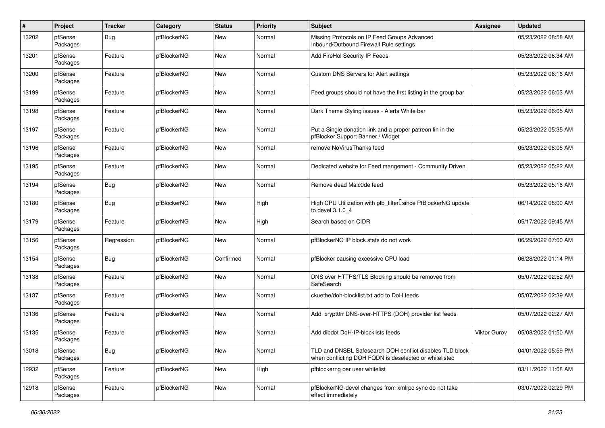| #     | Project             | <b>Tracker</b> | Category    | <b>Status</b> | <b>Priority</b> | <b>Subject</b>                                                                                                     | Assignee            | <b>Updated</b>      |
|-------|---------------------|----------------|-------------|---------------|-----------------|--------------------------------------------------------------------------------------------------------------------|---------------------|---------------------|
| 13202 | pfSense<br>Packages | <b>Bug</b>     | pfBlockerNG | New           | Normal          | Missing Protocols on IP Feed Groups Advanced<br>Inbound/Outbound Firewall Rule settings                            |                     | 05/23/2022 08:58 AM |
| 13201 | pfSense<br>Packages | Feature        | pfBlockerNG | <b>New</b>    | Normal          | Add FireHol Security IP Feeds                                                                                      |                     | 05/23/2022 06:34 AM |
| 13200 | pfSense<br>Packages | Feature        | pfBlockerNG | New           | Normal          | Custom DNS Servers for Alert settings                                                                              |                     | 05/23/2022 06:16 AM |
| 13199 | pfSense<br>Packages | Feature        | pfBlockerNG | New           | Normal          | Feed groups should not have the first listing in the group bar                                                     |                     | 05/23/2022 06:03 AM |
| 13198 | pfSense<br>Packages | Feature        | pfBlockerNG | New           | Normal          | Dark Theme Styling issues - Alerts White bar                                                                       |                     | 05/23/2022 06:05 AM |
| 13197 | pfSense<br>Packages | Feature        | pfBlockerNG | <b>New</b>    | Normal          | Put a Single donation link and a proper patreon lin in the<br>pfBlocker Support Banner / Widget                    |                     | 05/23/2022 05:35 AM |
| 13196 | pfSense<br>Packages | Feature        | pfBlockerNG | New           | Normal          | remove NoVirusThanks feed                                                                                          |                     | 05/23/2022 06:05 AM |
| 13195 | pfSense<br>Packages | Feature        | pfBlockerNG | New           | Normal          | Dedicated website for Feed mangement - Community Driven                                                            |                     | 05/23/2022 05:22 AM |
| 13194 | pfSense<br>Packages | Bug            | pfBlockerNG | New           | Normal          | Remove dead Malc0de feed                                                                                           |                     | 05/23/2022 05:16 AM |
| 13180 | pfSense<br>Packages | Bug            | pfBlockerNG | New           | High            | High CPU Utilization with pfb_filter <sup>[]</sup> since PfBlockerNG update<br>to devel 3.1.0 4                    |                     | 06/14/2022 08:00 AM |
| 13179 | pfSense<br>Packages | Feature        | pfBlockerNG | New           | High            | Search based on CIDR                                                                                               |                     | 05/17/2022 09:45 AM |
| 13156 | pfSense<br>Packages | Regression     | pfBlockerNG | New           | Normal          | pfBlockerNG IP block stats do not work                                                                             |                     | 06/29/2022 07:00 AM |
| 13154 | pfSense<br>Packages | <b>Bug</b>     | pfBlockerNG | Confirmed     | Normal          | pfBlocker causing excessive CPU load                                                                               |                     | 06/28/2022 01:14 PM |
| 13138 | pfSense<br>Packages | Feature        | pfBlockerNG | New           | Normal          | DNS over HTTPS/TLS Blocking should be removed from<br>SafeSearch                                                   |                     | 05/07/2022 02:52 AM |
| 13137 | pfSense<br>Packages | Feature        | pfBlockerNG | New           | Normal          | ckuethe/doh-blocklist.txt add to DoH feeds                                                                         |                     | 05/07/2022 02:39 AM |
| 13136 | pfSense<br>Packages | Feature        | pfBlockerNG | New           | Normal          | Add crypt0rr DNS-over-HTTPS (DOH) provider list feeds                                                              |                     | 05/07/2022 02:27 AM |
| 13135 | pfSense<br>Packages | Feature        | pfBlockerNG | <b>New</b>    | Normal          | Add dibdot DoH-IP-blocklists feeds                                                                                 | <b>Viktor Gurov</b> | 05/08/2022 01:50 AM |
| 13018 | pfSense<br>Packages | Bug            | pfBlockerNG | New           | Normal          | TLD and DNSBL Safesearch DOH conflict disables TLD block<br>when conflicting DOH FQDN is deselected or whitelisted |                     | 04/01/2022 05:59 PM |
| 12932 | pfSense<br>Packages | Feature        | pfBlockerNG | New           | High            | pfblockerng per user whitelist                                                                                     |                     | 03/11/2022 11:08 AM |
| 12918 | pfSense<br>Packages | Feature        | pfBlockerNG | New           | Normal          | pfBlockerNG-devel changes from xmlrpc sync do not take<br>effect immediately                                       |                     | 03/07/2022 02:29 PM |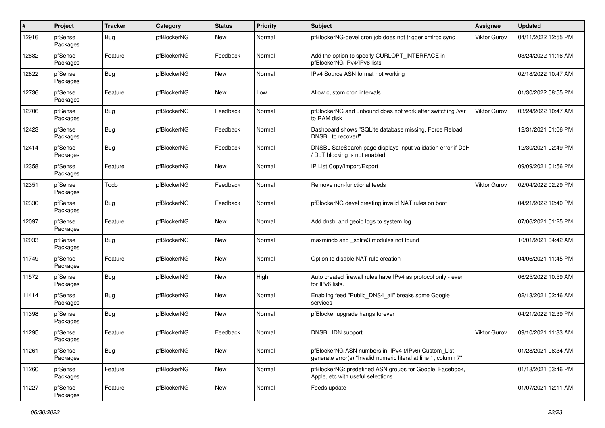| #     | Project             | <b>Tracker</b> | Category    | <b>Status</b> | <b>Priority</b> | <b>Subject</b>                                                                                                         | <b>Assignee</b>     | <b>Updated</b>      |
|-------|---------------------|----------------|-------------|---------------|-----------------|------------------------------------------------------------------------------------------------------------------------|---------------------|---------------------|
| 12916 | pfSense<br>Packages | <b>Bug</b>     | pfBlockerNG | New           | Normal          | pfBlockerNG-devel cron job does not trigger xmlrpc sync                                                                | Viktor Gurov        | 04/11/2022 12:55 PM |
| 12882 | pfSense<br>Packages | Feature        | pfBlockerNG | Feedback      | Normal          | Add the option to specify CURLOPT_INTERFACE in<br>pfBlockerNG IPv4/IPv6 lists                                          |                     | 03/24/2022 11:16 AM |
| 12822 | pfSense<br>Packages | <b>Bug</b>     | pfBlockerNG | New           | Normal          | IPv4 Source ASN format not working                                                                                     |                     | 02/18/2022 10:47 AM |
| 12736 | pfSense<br>Packages | Feature        | pfBlockerNG | New           | Low             | Allow custom cron intervals                                                                                            |                     | 01/30/2022 08:55 PM |
| 12706 | pfSense<br>Packages | <b>Bug</b>     | pfBlockerNG | Feedback      | Normal          | pfBlockerNG and unbound does not work after switching /var<br>to RAM disk                                              | <b>Viktor Gurov</b> | 03/24/2022 10:47 AM |
| 12423 | pfSense<br>Packages | Bug            | pfBlockerNG | Feedback      | Normal          | Dashboard shows "SQLite database missing, Force Reload<br>DNSBL to recover!"                                           |                     | 12/31/2021 01:06 PM |
| 12414 | pfSense<br>Packages | <b>Bug</b>     | pfBlockerNG | Feedback      | Normal          | DNSBL SafeSearch page displays input validation error if DoH<br>DoT blocking is not enabled                            |                     | 12/30/2021 02:49 PM |
| 12358 | pfSense<br>Packages | Feature        | pfBlockerNG | New           | Normal          | IP List Copy/Import/Export                                                                                             |                     | 09/09/2021 01:56 PM |
| 12351 | pfSense<br>Packages | Todo           | pfBlockerNG | Feedback      | Normal          | Remove non-functional feeds                                                                                            | <b>Viktor Gurov</b> | 02/04/2022 02:29 PM |
| 12330 | pfSense<br>Packages | <b>Bug</b>     | pfBlockerNG | Feedback      | Normal          | pfBlockerNG devel creating invalid NAT rules on boot                                                                   |                     | 04/21/2022 12:40 PM |
| 12097 | pfSense<br>Packages | Feature        | pfBlockerNG | New           | Normal          | Add dnsbl and geoip logs to system log                                                                                 |                     | 07/06/2021 01:25 PM |
| 12033 | pfSense<br>Packages | <b>Bug</b>     | pfBlockerNG | New           | Normal          | maxmindb and _sqlite3 modules not found                                                                                |                     | 10/01/2021 04:42 AM |
| 11749 | pfSense<br>Packages | Feature        | pfBlockerNG | New           | Normal          | Option to disable NAT rule creation                                                                                    |                     | 04/06/2021 11:45 PM |
| 11572 | pfSense<br>Packages | <b>Bug</b>     | pfBlockerNG | New           | High            | Auto created firewall rules have IPv4 as protocol only - even<br>for IPv6 lists.                                       |                     | 06/25/2022 10:59 AM |
| 11414 | pfSense<br>Packages | <b>Bug</b>     | pfBlockerNG | New           | Normal          | Enabling feed "Public DNS4 all" breaks some Google<br>services                                                         |                     | 02/13/2021 02:46 AM |
| 11398 | pfSense<br>Packages | <b>Bug</b>     | pfBlockerNG | New           | Normal          | pfBlocker upgrade hangs forever                                                                                        |                     | 04/21/2022 12:39 PM |
| 11295 | pfSense<br>Packages | Feature        | pfBlockerNG | Feedback      | Normal          | DNSBL IDN support                                                                                                      | Viktor Gurov        | 09/10/2021 11:33 AM |
| 11261 | pfSense<br>Packages | Bug            | pfBlockerNG | New           | Normal          | pfBlockerNG ASN numbers in IPv4 (/IPv6) Custom_List<br>generate error(s) "Invalid numeric literal at line 1, column 7" |                     | 01/28/2021 08:34 AM |
| 11260 | pfSense<br>Packages | Feature        | pfBlockerNG | New           | Normal          | pfBlockerNG: predefined ASN groups for Google, Facebook,<br>Apple, etc with useful selections                          |                     | 01/18/2021 03:46 PM |
| 11227 | pfSense<br>Packages | Feature        | pfBlockerNG | New           | Normal          | Feeds update                                                                                                           |                     | 01/07/2021 12:11 AM |